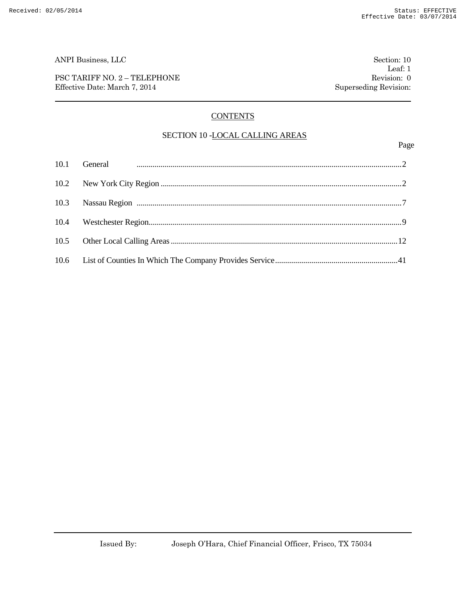PSC TARIFF NO. 2 – TELEPHONE Revision: 0 Effective Date: March 7, 2014 Superseding Revision:

### **CONTENTS**

#### SECTION 10 -LOCAL CALLING AREAS

Page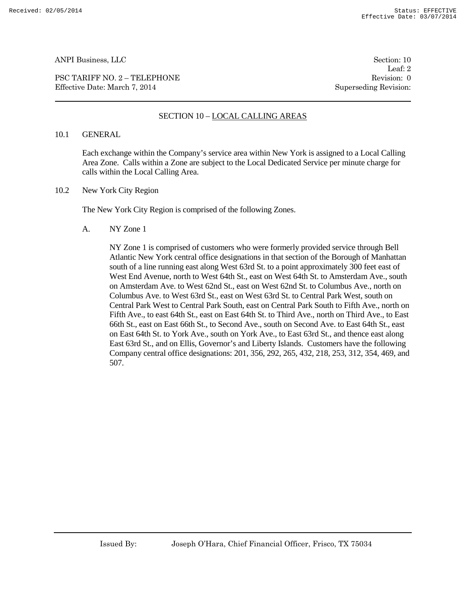PSC TARIFF NO. 2 – TELEPHONE Revision: 0 Effective Date: March 7, 2014 Superseding Revision:

Leaf: 2

#### SECTION 10 – LOCAL CALLING AREAS

#### 10.1 GENERAL

Each exchange within the Company's service area within New York is assigned to a Local Calling Area Zone. Calls within a Zone are subject to the Local Dedicated Service per minute charge for calls within the Local Calling Area.

10.2 New York City Region

The New York City Region is comprised of the following Zones.

A. NY Zone 1

NY Zone 1 is comprised of customers who were formerly provided service through Bell Atlantic New York central office designations in that section of the Borough of Manhattan south of a line running east along West 63rd St. to a point approximately 300 feet east of West End Avenue, north to West 64th St., east on West 64th St. to Amsterdam Ave., south on Amsterdam Ave. to West 62nd St., east on West 62nd St. to Columbus Ave., north on Columbus Ave. to West 63rd St., east on West 63rd St. to Central Park West, south on Central Park West to Central Park South, east on Central Park South to Fifth Ave., north on Fifth Ave., to east 64th St., east on East 64th St. to Third Ave., north on Third Ave., to East 66th St., east on East 66th St., to Second Ave., south on Second Ave. to East 64th St., east on East 64th St. to York Ave., south on York Ave., to East 63rd St., and thence east along East 63rd St., and on Ellis, Governor's and Liberty Islands. Customers have the following Company central office designations: 201, 356, 292, 265, 432, 218, 253, 312, 354, 469, and 507.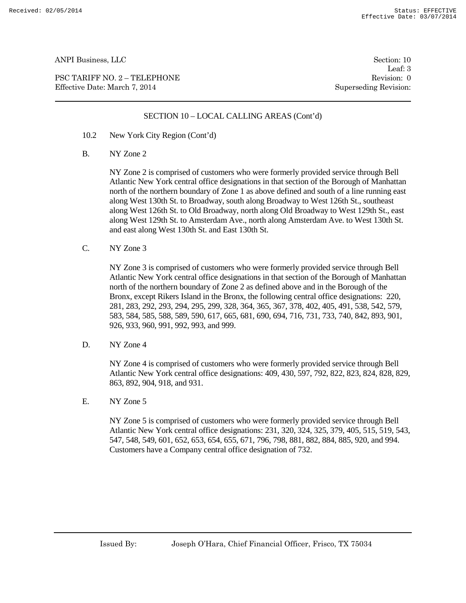PSC TARIFF NO. 2 – TELEPHONE Revision: 0 Effective Date: March 7, 2014 Superseding Revision:

Leaf: 3

#### SECTION 10 – LOCAL CALLING AREAS (Cont'd)

- 10.2 New York City Region (Cont'd)
- B. NY Zone 2

NY Zone 2 is comprised of customers who were formerly provided service through Bell Atlantic New York central office designations in that section of the Borough of Manhattan north of the northern boundary of Zone 1 as above defined and south of a line running east along West 130th St. to Broadway, south along Broadway to West 126th St., southeast along West 126th St. to Old Broadway, north along Old Broadway to West 129th St., east along West 129th St. to Amsterdam Ave., north along Amsterdam Ave. to West 130th St. and east along West 130th St. and East 130th St.

C. NY Zone 3

NY Zone 3 is comprised of customers who were formerly provided service through Bell Atlantic New York central office designations in that section of the Borough of Manhattan north of the northern boundary of Zone 2 as defined above and in the Borough of the Bronx, except Rikers Island in the Bronx, the following central office designations: 220, 281, 283, 292, 293, 294, 295, 299, 328, 364, 365, 367, 378, 402, 405, 491, 538, 542, 579, 583, 584, 585, 588, 589, 590, 617, 665, 681, 690, 694, 716, 731, 733, 740, 842, 893, 901, 926, 933, 960, 991, 992, 993, and 999.

D. NY Zone 4

NY Zone 4 is comprised of customers who were formerly provided service through Bell Atlantic New York central office designations: 409, 430, 597, 792, 822, 823, 824, 828, 829, 863, 892, 904, 918, and 931.

E. NY Zone 5

NY Zone 5 is comprised of customers who were formerly provided service through Bell Atlantic New York central office designations: 231, 320, 324, 325, 379, 405, 515, 519, 543, 547, 548, 549, 601, 652, 653, 654, 655, 671, 796, 798, 881, 882, 884, 885, 920, and 994. Customers have a Company central office designation of 732.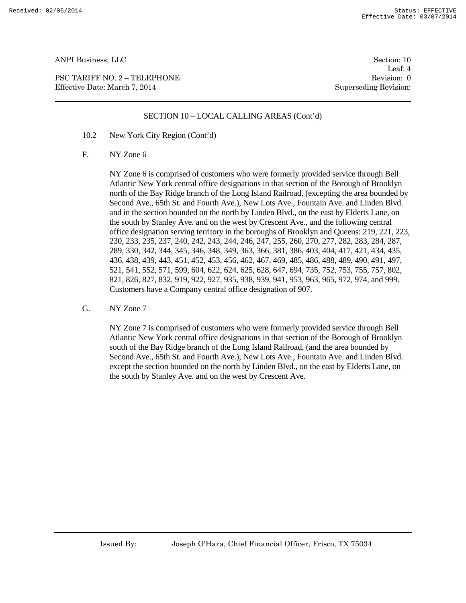PSC TARIFF NO. 2 – TELEPHONE Revision: 0 Effective Date: March 7, 2014 Superseding Revision:

Leaf: 4

#### SECTION 10 – LOCAL CALLING AREAS (Cont'd)

- 10.2 New York City Region (Cont'd)
- F. NY Zone 6

NY Zone 6 is comprised of customers who were formerly provided service through Bell Atlantic New York central office designations in that section of the Borough of Brooklyn north of the Bay Ridge branch of the Long Island Railroad, (excepting the area bounded by Second Ave., 65th St. and Fourth Ave.), New Lots Ave., Fountain Ave. and Linden Blvd. and in the section bounded on the north by Linden Blvd., on the east by Elderts Lane, on the south by Stanley Ave. and on the west by Crescent Ave., and the following central office designation serving territory in the boroughs of Brooklyn and Queens: 219, 221, 223, 230, 233, 235, 237, 240, 242, 243, 244, 246, 247, 255, 260, 270, 277, 282, 283, 284, 287, 289, 330, 342, 344, 345, 346, 348, 349, 363, 366, 381, 386, 403, 404, 417, 421, 434, 435, 436, 438, 439, 443, 451, 452, 453, 456, 462, 467, 469, 485, 486, 488, 489, 490, 491, 497, 521, 541, 552, 571, 599, 604, 622, 624, 625, 628, 647, 694, 735, 752, 753, 755, 757, 802, 821, 826, 827, 832, 919, 922, 927, 935, 938, 939, 941, 953, 963, 965, 972, 974, and 999. Customers have a Company central office designation of 907.

G. NY Zone 7

NY Zone 7 is comprised of customers who were formerly provided service through Bell Atlantic New York central office designations in that section of the Borough of Brooklyn south of the Bay Ridge branch of the Long Island Railroad, (and the area bounded by Second Ave., 65th St. and Fourth Ave.), New Lots Ave., Fountain Ave. and Linden Blvd. except the section bounded on the north by Linden Blvd., on the east by Elderts Lane, on the south by Stanley Ave. and on the west by Crescent Ave.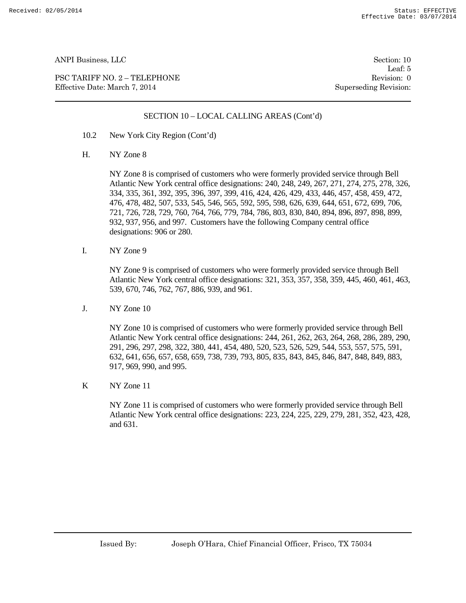PSC TARIFF NO. 2 – TELEPHONE Revision: 0 Effective Date: March 7, 2014 Superseding Revision:

Leaf: 5

#### SECTION 10 – LOCAL CALLING AREAS (Cont'd)

- 10.2 New York City Region (Cont'd)
- H. NY Zone 8

NY Zone 8 is comprised of customers who were formerly provided service through Bell Atlantic New York central office designations: 240, 248, 249, 267, 271, 274, 275, 278, 326, 334, 335, 361, 392, 395, 396, 397, 399, 416, 424, 426, 429, 433, 446, 457, 458, 459, 472, 476, 478, 482, 507, 533, 545, 546, 565, 592, 595, 598, 626, 639, 644, 651, 672, 699, 706, 721, 726, 728, 729, 760, 764, 766, 779, 784, 786, 803, 830, 840, 894, 896, 897, 898, 899, 932, 937, 956, and 997. Customers have the following Company central office designations: 906 or 280.

I. NY Zone 9

NY Zone 9 is comprised of customers who were formerly provided service through Bell Atlantic New York central office designations: 321, 353, 357, 358, 359, 445, 460, 461, 463, 539, 670, 746, 762, 767, 886, 939, and 961.

J. NY Zone 10

NY Zone 10 is comprised of customers who were formerly provided service through Bell Atlantic New York central office designations: 244, 261, 262, 263, 264, 268, 286, 289, 290, 291, 296, 297, 298, 322, 380, 441, 454, 480, 520, 523, 526, 529, 544, 553, 557, 575, 591, 632, 641, 656, 657, 658, 659, 738, 739, 793, 805, 835, 843, 845, 846, 847, 848, 849, 883, 917, 969, 990, and 995.

K NY Zone 11

NY Zone 11 is comprised of customers who were formerly provided service through Bell Atlantic New York central office designations: 223, 224, 225, 229, 279, 281, 352, 423, 428, and 631.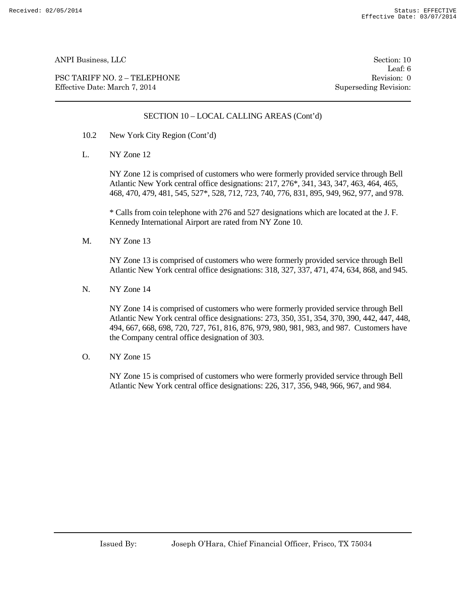PSC TARIFF NO. 2 – TELEPHONE Revision: 0 Effective Date: March 7, 2014 Superseding Revision:

Leaf: 6

#### SECTION 10 – LOCAL CALLING AREAS (Cont'd)

- 10.2 New York City Region (Cont'd)
- L. NY Zone 12

NY Zone 12 is comprised of customers who were formerly provided service through Bell Atlantic New York central office designations: 217, 276\*, 341, 343, 347, 463, 464, 465, 468, 470, 479, 481, 545, 527\*, 528, 712, 723, 740, 776, 831, 895, 949, 962, 977, and 978.

\* Calls from coin telephone with 276 and 527 designations which are located at the J. F. Kennedy International Airport are rated from NY Zone 10.

M. NY Zone 13

NY Zone 13 is comprised of customers who were formerly provided service through Bell Atlantic New York central office designations: 318, 327, 337, 471, 474, 634, 868, and 945.

N. NY Zone 14

NY Zone 14 is comprised of customers who were formerly provided service through Bell Atlantic New York central office designations: 273, 350, 351, 354, 370, 390, 442, 447, 448, 494, 667, 668, 698, 720, 727, 761, 816, 876, 979, 980, 981, 983, and 987. Customers have the Company central office designation of 303.

O. NY Zone 15

NY Zone 15 is comprised of customers who were formerly provided service through Bell Atlantic New York central office designations: 226, 317, 356, 948, 966, 967, and 984.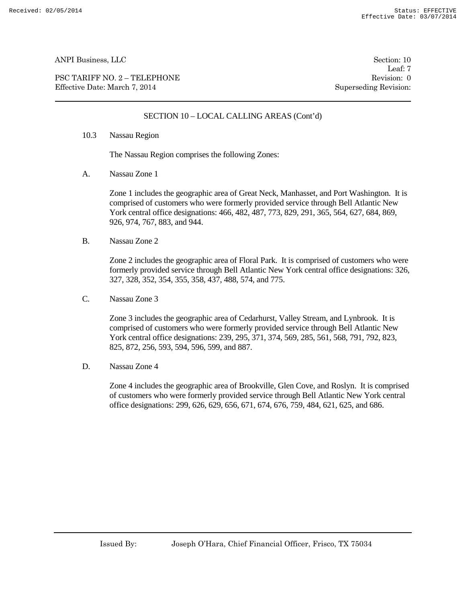PSC TARIFF NO. 2 – TELEPHONE Revision: 0 Effective Date: March 7, 2014 Superseding Revision:

Leaf: 7

#### SECTION 10 – LOCAL CALLING AREAS (Cont'd)

10.3 Nassau Region

The Nassau Region comprises the following Zones:

A. Nassau Zone 1

Zone 1 includes the geographic area of Great Neck, Manhasset, and Port Washington. It is comprised of customers who were formerly provided service through Bell Atlantic New York central office designations: 466, 482, 487, 773, 829, 291, 365, 564, 627, 684, 869, 926, 974, 767, 883, and 944.

B. Nassau Zone 2

Zone 2 includes the geographic area of Floral Park. It is comprised of customers who were formerly provided service through Bell Atlantic New York central office designations: 326, 327, 328, 352, 354, 355, 358, 437, 488, 574, and 775.

C. Nassau Zone 3

Zone 3 includes the geographic area of Cedarhurst, Valley Stream, and Lynbrook. It is comprised of customers who were formerly provided service through Bell Atlantic New York central office designations: 239, 295, 371, 374, 569, 285, 561, 568, 791, 792, 823, 825, 872, 256, 593, 594, 596, 599, and 887.

D. Nassau Zone 4

Zone 4 includes the geographic area of Brookville, Glen Cove, and Roslyn. It is comprised of customers who were formerly provided service through Bell Atlantic New York central office designations: 299, 626, 629, 656, 671, 674, 676, 759, 484, 621, 625, and 686.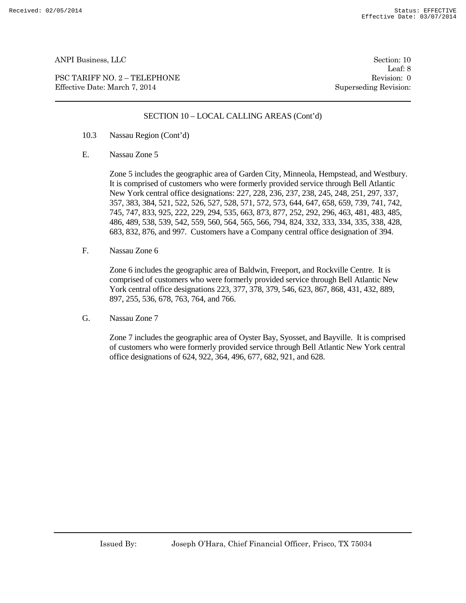PSC TARIFF NO. 2 – TELEPHONE Revision: 0 Effective Date: March 7, 2014 Superseding Revision:

Leaf: 8

#### SECTION 10 – LOCAL CALLING AREAS (Cont'd)

- 10.3 Nassau Region (Cont'd)
- E. Nassau Zone 5

Zone 5 includes the geographic area of Garden City, Minneola, Hempstead, and Westbury. It is comprised of customers who were formerly provided service through Bell Atlantic New York central office designations: 227, 228, 236, 237, 238, 245, 248, 251, 297, 337, 357, 383, 384, 521, 522, 526, 527, 528, 571, 572, 573, 644, 647, 658, 659, 739, 741, 742, 745, 747, 833, 925, 222, 229, 294, 535, 663, 873, 877, 252, 292, 296, 463, 481, 483, 485, 486, 489, 538, 539, 542, 559, 560, 564, 565, 566, 794, 824, 332, 333, 334, 335, 338, 428, 683, 832, 876, and 997. Customers have a Company central office designation of 394.

F. Nassau Zone 6

Zone 6 includes the geographic area of Baldwin, Freeport, and Rockville Centre. It is comprised of customers who were formerly provided service through Bell Atlantic New York central office designations 223, 377, 378, 379, 546, 623, 867, 868, 431, 432, 889, 897, 255, 536, 678, 763, 764, and 766.

G. Nassau Zone 7

Zone 7 includes the geographic area of Oyster Bay, Syosset, and Bayville. It is comprised of customers who were formerly provided service through Bell Atlantic New York central office designations of 624, 922, 364, 496, 677, 682, 921, and 628.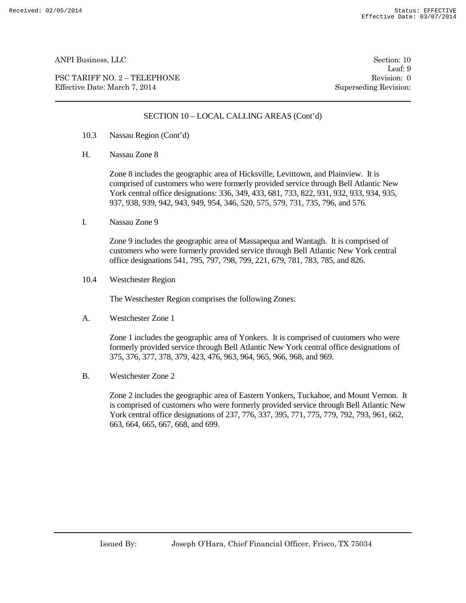PSC TARIFF NO. 2 – TELEPHONE Revision: 0 Effective Date: March 7, 2014 Superseding Revision:

Leaf: 9

#### SECTION 10 – LOCAL CALLING AREAS (Cont'd)

- 10.3 Nassau Region (Cont'd)
- H. Nassau Zone 8

Zone 8 includes the geographic area of Hicksville, Levittown, and Plainview. It is comprised of customers who were formerly provided service through Bell Atlantic New York central office designations: 336, 349, 433, 681, 733, 822, 931, 932, 933, 934, 935, 937, 938, 939, 942, 943, 949, 954, 346, 520, 575, 579, 731, 735, 796, and 576.

I. Nassau Zone 9

Zone 9 includes the geographic area of Massapequa and Wantagh. It is comprised of customers who were formerly provided service through Bell Atlantic New York central office designations 541, 795, 797, 798, 799, 221, 679, 781, 783, 785, and 826.

10.4 Westchester Region

The Westchester Region comprises the following Zones:

A. Westchester Zone 1

Zone 1 includes the geographic area of Yonkers. It is comprised of customers who were formerly provided service through Bell Atlantic New York central office designations of 375, 376, 377, 378, 379, 423, 476, 963, 964, 965, 966, 968, and 969.

B. Westchester Zone 2

Zone 2 includes the geographic area of Eastern Yonkers, Tuckahoe, and Mount Vernon. It is comprised of customers who were formerly provided service through Bell Atlantic New York central office designations of 237, 776, 337, 395, 771, 775, 779, 792, 793, 961, 662, 663, 664, 665, 667, 668, and 699.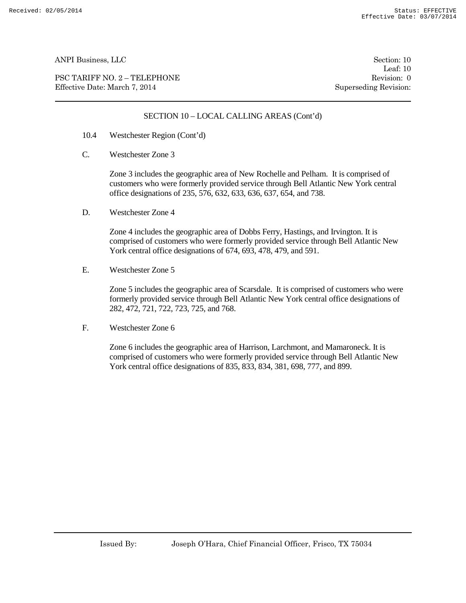PSC TARIFF NO. 2 – TELEPHONE Revision: 0 Effective Date: March 7, 2014 Superseding Revision:

Leaf: 10

#### SECTION 10 – LOCAL CALLING AREAS (Cont'd)

- 10.4 Westchester Region (Cont'd)
- C. Westchester Zone 3

Zone 3 includes the geographic area of New Rochelle and Pelham. It is comprised of customers who were formerly provided service through Bell Atlantic New York central office designations of 235, 576, 632, 633, 636, 637, 654, and 738.

D. Westchester Zone 4

Zone 4 includes the geographic area of Dobbs Ferry, Hastings, and Irvington. It is comprised of customers who were formerly provided service through Bell Atlantic New York central office designations of 674, 693, 478, 479, and 591.

E. Westchester Zone 5

Zone 5 includes the geographic area of Scarsdale. It is comprised of customers who were formerly provided service through Bell Atlantic New York central office designations of 282, 472, 721, 722, 723, 725, and 768.

F. Westchester Zone 6

Zone 6 includes the geographic area of Harrison, Larchmont, and Mamaroneck. It is comprised of customers who were formerly provided service through Bell Atlantic New York central office designations of 835, 833, 834, 381, 698, 777, and 899.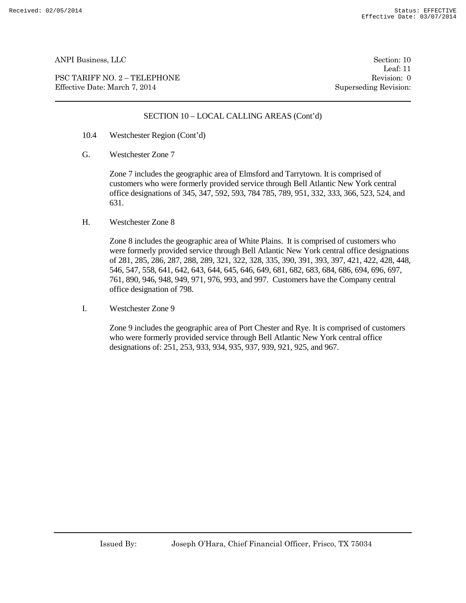PSC TARIFF NO. 2 – TELEPHONE Revision: 0 Effective Date: March 7, 2014 Superseding Revision:

Leaf: 11

#### SECTION 10 – LOCAL CALLING AREAS (Cont'd)

- 10.4 Westchester Region (Cont'd)
- G. Westchester Zone 7

Zone 7 includes the geographic area of Elmsford and Tarrytown. It is comprised of customers who were formerly provided service through Bell Atlantic New York central office designations of 345, 347, 592, 593, 784 785, 789, 951, 332, 333, 366, 523, 524, and 631.

H. Westchester Zone 8

Zone 8 includes the geographic area of White Plains. It is comprised of customers who were formerly provided service through Bell Atlantic New York central office designations of 281, 285, 286, 287, 288, 289, 321, 322, 328, 335, 390, 391, 393, 397, 421, 422, 428, 448, 546, 547, 558, 641, 642, 643, 644, 645, 646, 649, 681, 682, 683, 684, 686, 694, 696, 697, 761, 890, 946, 948, 949, 971, 976, 993, and 997. Customers have the Company central office designation of 798.

I. Westchester Zone 9

Zone 9 includes the geographic area of Port Chester and Rye. It is comprised of customers who were formerly provided service through Bell Atlantic New York central office designations of: 251, 253, 933, 934, 935, 937, 939, 921, 925, and 967.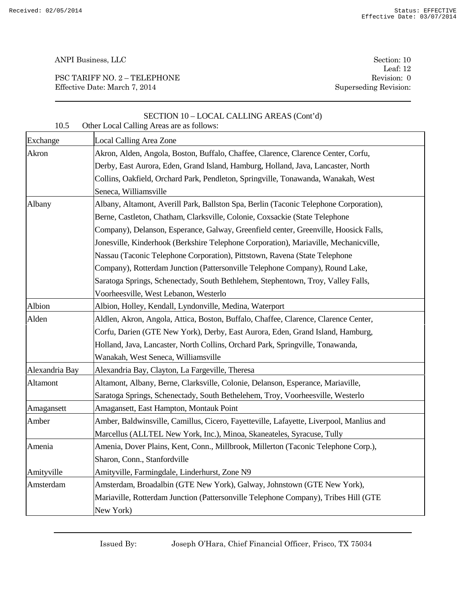PSC TARIFF NO. 2 – TELEPHONE Revision: 0 Effective Date: March 7, 2014 Superseding Revision:

Leaf: 12

| 10.5           | SECTION 10 - LOCAL CALLING AREAS (Cont'd)<br>Other Local Calling Areas are as follows:  |
|----------------|-----------------------------------------------------------------------------------------|
| Exchange       | Local Calling Area Zone                                                                 |
| Akron          | Akron, Alden, Angola, Boston, Buffalo, Chaffee, Clarence, Clarence Center, Corfu,       |
|                | Derby, East Aurora, Eden, Grand Island, Hamburg, Holland, Java, Lancaster, North        |
|                | Collins, Oakfield, Orchard Park, Pendleton, Springville, Tonawanda, Wanakah, West       |
|                | Seneca, Williamsville                                                                   |
| Albany         | Albany, Altamont, Averill Park, Ballston Spa, Berlin (Taconic Telephone Corporation),   |
|                | Berne, Castleton, Chatham, Clarksville, Colonie, Coxsackie (State Telephone             |
|                | Company), Delanson, Esperance, Galway, Greenfield center, Greenville, Hoosick Falls,    |
|                | Jonesville, Kinderhook (Berkshire Telephone Corporation), Mariaville, Mechanicville,    |
|                | Nassau (Taconic Telephone Corporation), Pittstown, Ravena (State Telephone              |
|                | Company), Rotterdam Junction (Pattersonville Telephone Company), Round Lake,            |
|                | Saratoga Springs, Schenectady, South Bethlehem, Stephentown, Troy, Valley Falls,        |
|                | Voorheesville, West Lebanon, Westerlo                                                   |
| Albion         | Albion, Holley, Kendall, Lyndonville, Medina, Waterport                                 |
| Alden          | Aldlen, Akron, Angola, Attica, Boston, Buffalo, Chaffee, Clarence, Clarence Center,     |
|                | Corfu, Darien (GTE New York), Derby, East Aurora, Eden, Grand Island, Hamburg,          |
|                | Holland, Java, Lancaster, North Collins, Orchard Park, Springville, Tonawanda,          |
|                | Wanakah, West Seneca, Williamsville                                                     |
| Alexandria Bay | Alexandria Bay, Clayton, La Fargeville, Theresa                                         |
| Altamont       | Altamont, Albany, Berne, Clarksville, Colonie, Delanson, Esperance, Mariaville,         |
|                | Saratoga Springs, Schenectady, South Bethelehem, Troy, Voorheesville, Westerlo          |
| Amagansett     | Amagansett, East Hampton, Montauk Point                                                 |
| Amber          | Amber, Baldwinsville, Camillus, Cicero, Fayetteville, Lafayette, Liverpool, Manlius and |
|                | Marcellus (ALLTEL New York, Inc.), Minoa, Skaneateles, Syracuse, Tully                  |
| Amenia         | Amenia, Dover Plains, Kent, Conn., Millbrook, Millerton (Taconic Telephone Corp.),      |
|                | Sharon, Conn., Stanfordville                                                            |
| Amityville     | Amityville, Farmingdale, Linderhurst, Zone N9                                           |
| Amsterdam      | Amsterdam, Broadalbin (GTE New York), Galway, Johnstown (GTE New York),                 |
|                | Mariaville, Rotterdam Junction (Pattersonville Telephone Company), Tribes Hill (GTE     |
|                | New York)                                                                               |

Issued By: Joseph O'Hara, Chief Financial Officer, Frisco, TX 75034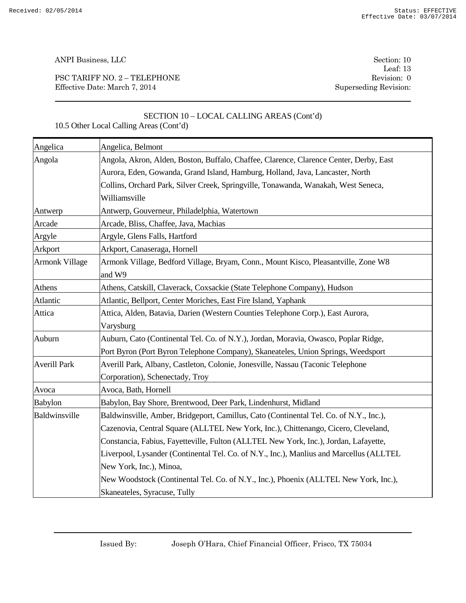PSC TARIFF NO. 2 – TELEPHONE Revision: 0 Effective Date: March 7, 2014 Superseding Revision:

Leaf: 13

# SECTION 10 – LOCAL CALLING AREAS (Cont'd) 10.5 Other Local Calling Areas (Cont'd)

| Angelica              | Angelica, Belmont                                                                       |
|-----------------------|-----------------------------------------------------------------------------------------|
| Angola                | Angola, Akron, Alden, Boston, Buffalo, Chaffee, Clarence, Clarence Center, Derby, East  |
|                       | Aurora, Eden, Gowanda, Grand Island, Hamburg, Holland, Java, Lancaster, North           |
|                       | Collins, Orchard Park, Silver Creek, Springville, Tonawanda, Wanakah, West Seneca,      |
|                       | Williamsville                                                                           |
| Antwerp               | Antwerp, Gouverneur, Philadelphia, Watertown                                            |
| Arcade                | Arcade, Bliss, Chaffee, Java, Machias                                                   |
| Argyle                | Argyle, Glens Falls, Hartford                                                           |
| Arkport               | Arkport, Canaseraga, Hornell                                                            |
| <b>Armonk Village</b> | Armonk Village, Bedford Village, Bryam, Conn., Mount Kisco, Pleasantville, Zone W8      |
|                       | and W9                                                                                  |
| <b>Athens</b>         | Athens, Catskill, Claverack, Coxsackie (State Telephone Company), Hudson                |
| Atlantic              | Atlantic, Bellport, Center Moriches, East Fire Island, Yaphank                          |
| Attica                | Attica, Alden, Batavia, Darien (Western Counties Telephone Corp.), East Aurora,         |
|                       | Varysburg                                                                               |
| Auburn                | Auburn, Cato (Continental Tel. Co. of N.Y.), Jordan, Moravia, Owasco, Poplar Ridge,     |
|                       | Port Byron (Port Byron Telephone Company), Skaneateles, Union Springs, Weedsport        |
| <b>Averill Park</b>   | Averill Park, Albany, Castleton, Colonie, Jonesville, Nassau (Taconic Telephone         |
|                       | Corporation), Schenectady, Troy                                                         |
| Avoca                 | Avoca, Bath, Hornell                                                                    |
| Babylon               | Babylon, Bay Shore, Brentwood, Deer Park, Lindenhurst, Midland                          |
| Baldwinsville         | Baldwinsville, Amber, Bridgeport, Camillus, Cato (Continental Tel. Co. of N.Y., Inc.),  |
|                       | Cazenovia, Central Square (ALLTEL New York, Inc.), Chittenango, Cicero, Cleveland,      |
|                       | Constancia, Fabius, Fayetteville, Fulton (ALLTEL New York, Inc.), Jordan, Lafayette,    |
|                       | Liverpool, Lysander (Continental Tel. Co. of N.Y., Inc.), Manlius and Marcellus (ALLTEL |
|                       | New York, Inc.), Minoa,                                                                 |
|                       | New Woodstock (Continental Tel. Co. of N.Y., Inc.), Phoenix (ALLTEL New York, Inc.),    |
|                       | Skaneateles, Syracuse, Tully                                                            |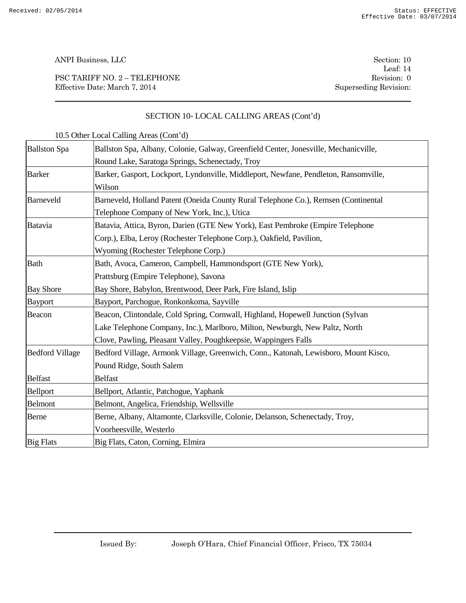PSC TARIFF NO. 2 – TELEPHONE Revision: 0 Effective Date: March 7, 2014 Superseding Revision:

Leaf: 14

# SECTION 10- LOCAL CALLING AREAS (Cont'd)

| <b>Ballston Spa</b>    | Ballston Spa, Albany, Colonie, Galway, Greenfield Center, Jonesville, Mechanicville, |
|------------------------|--------------------------------------------------------------------------------------|
|                        | Round Lake, Saratoga Springs, Schenectady, Troy                                      |
| <b>Barker</b>          | Barker, Gasport, Lockport, Lyndonville, Middleport, Newfane, Pendleton, Ransomville, |
|                        | Wilson                                                                               |
| Barneveld              | Barneveld, Holland Patent (Oneida County Rural Telephone Co.), Remsen (Continental   |
|                        | Telephone Company of New York, Inc.), Utica                                          |
| <b>Batavia</b>         | Batavia, Attica, Byron, Darien (GTE New York), East Pembroke (Empire Telephone       |
|                        | Corp.), Elba, Leroy (Rochester Telephone Corp.), Oakfield, Pavilion,                 |
|                        | Wyoming (Rochester Telephone Corp.)                                                  |
| <b>Bath</b>            | Bath, Avoca, Cameron, Campbell, Hammondsport (GTE New York),                         |
|                        | Prattsburg (Empire Telephone), Savona                                                |
| <b>Bay Shore</b>       | Bay Shore, Babylon, Brentwood, Deer Park, Fire Island, Islip                         |
| <b>Bayport</b>         | Bayport, Parchogue, Ronkonkoma, Sayville                                             |
| Beacon                 | Beacon, Clintondale, Cold Spring, Cornwall, Highland, Hopewell Junction (Sylvan      |
|                        | Lake Telephone Company, Inc.), Marlboro, Milton, Newburgh, New Paltz, North          |
|                        | Clove, Pawling, Pleasant Valley, Poughkeepsie, Wappingers Falls                      |
| <b>Bedford Village</b> | Bedford Village, Armonk Village, Greenwich, Conn., Katonah, Lewisboro, Mount Kisco,  |
|                        | Pound Ridge, South Salem                                                             |
| <b>Belfast</b>         | <b>Belfast</b>                                                                       |
| Bellport               | Bellport, Atlantic, Patchogue, Yaphank                                               |
| <b>Belmont</b>         | Belmont, Angelica, Friendship, Wellsville                                            |
| Berne                  | Berne, Albany, Altamonte, Clarksville, Colonie, Delanson, Schenectady, Troy,         |
|                        | Voorheesville, Westerlo                                                              |
| <b>Big Flats</b>       | Big Flats, Caton, Corning, Elmira                                                    |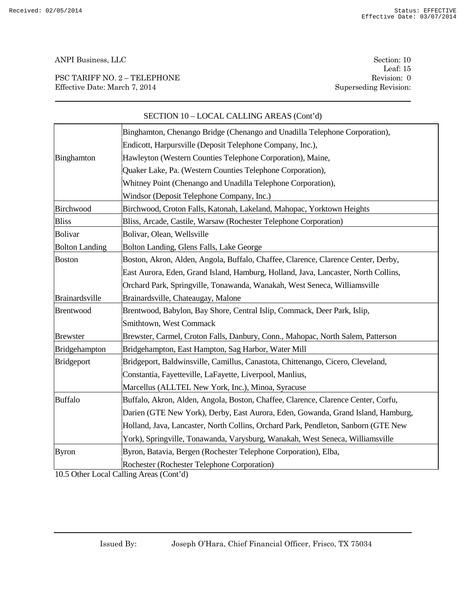PSC TARIFF NO. 2 – TELEPHONE Revision: 0 Effective Date: March 7, 2014 Superseding Revision:

Leaf: 15

|                       | Binghamton, Chenango Bridge (Chenango and Unadilla Telephone Corporation),         |
|-----------------------|------------------------------------------------------------------------------------|
|                       | Endicott, Harpursville (Deposit Telephone Company, Inc.),                          |
| Binghamton            | Hawleyton (Western Counties Telephone Corporation), Maine,                         |
|                       | Quaker Lake, Pa. (Western Counties Telephone Corporation),                         |
|                       | Whitney Point (Chenango and Unadilla Telephone Corporation),                       |
|                       | Windsor (Deposit Telephone Company, Inc.)                                          |
| Birchwood             | Birchwood, Croton Falls, Katonah, Lakeland, Mahopac, Yorktown Heights              |
| <b>Bliss</b>          | Bliss, Arcade, Castile, Warsaw (Rochester Telephone Corporation)                   |
| <b>Bolivar</b>        | Bolivar, Olean, Wellsville                                                         |
| <b>Bolton Landing</b> | Bolton Landing, Glens Falls, Lake George                                           |
| <b>Boston</b>         | Boston, Akron, Alden, Angola, Buffalo, Chaffee, Clarence, Clarence Center, Derby,  |
|                       | East Aurora, Eden, Grand Island, Hamburg, Holland, Java, Lancaster, North Collins, |
|                       | Orchard Park, Springville, Tonawanda, Wanakah, West Seneca, Williamsville          |
| Brainardsville        | Brainardsville, Chateaugay, Malone                                                 |
| <b>Brentwood</b>      | Brentwood, Babylon, Bay Shore, Central Islip, Commack, Deer Park, Islip,           |
|                       | Smithtown, West Commack                                                            |
| <b>Brewster</b>       | Brewster, Carmel, Croton Falls, Danbury, Conn., Mahopac, North Salem, Patterson    |
| Bridgehampton         | Bridgehampton, East Hampton, Sag Harbor, Water Mill                                |
| Bridgeport            | Bridgeport, Baldwinsville, Camillus, Canastota, Chittenango, Cicero, Cleveland,    |
|                       | Constantia, Fayetteville, LaFayette, Liverpool, Manlius,                           |
|                       | Marcellus (ALLTEL New York, Inc.), Minoa, Syracuse                                 |
| <b>Buffalo</b>        | Buffalo, Akron, Alden, Angola, Boston, Chaffee, Clarence, Clarence Center, Corfu,  |
|                       | Darien (GTE New York), Derby, East Aurora, Eden, Gowanda, Grand Island, Hamburg,   |
|                       | Holland, Java, Lancaster, North Collins, Orchard Park, Pendleton, Sanborn (GTE New |
|                       | York), Springville, Tonawanda, Varysburg, Wanakah, West Seneca, Williamsville      |
| <b>Byron</b>          | Byron, Batavia, Bergen (Rochester Telephone Corporation), Elba,                    |
|                       | Rochester (Rochester Telephone Corporation)                                        |

# SECTION 10 – LOCAL CALLING AREAS (Cont'd)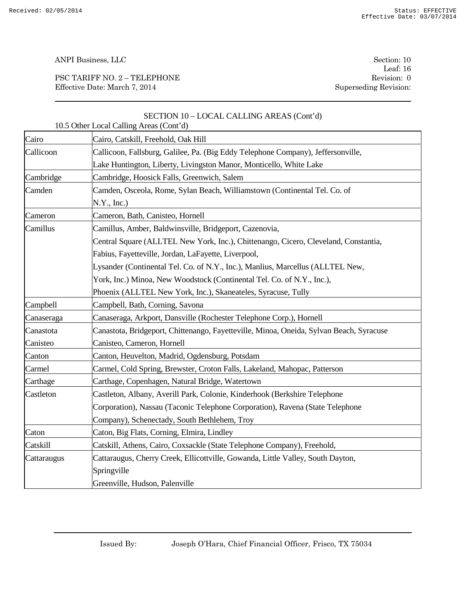PSC TARIFF NO. 2 – TELEPHONE Revision: 0 Effective Date: March 7, 2014 Superseding Revision:

Leaf: 16

|             | SECTION 10 - LOCAL CALLING AREAS (Cont'd)<br>10.5 Other Local Calling Areas (Cont'd)    |
|-------------|-----------------------------------------------------------------------------------------|
| Cairo       | Cairo, Catskill, Freehold, Oak Hill                                                     |
| Callicoon   | Callicoon, Fallsburg, Galilee, Pa. (Big Eddy Telephone Company), Jeffersonville,        |
|             | Lake Huntington, Liberty, Livingston Manor, Monticello, White Lake                      |
| Cambridge   | Cambridge, Hoosick Falls, Greenwich, Salem                                              |
| Camden      | Camden, Osceola, Rome, Sylan Beach, Williamstown (Continental Tel. Co. of               |
|             | N.Y., Inc.)                                                                             |
| Cameron     | Cameron, Bath, Canisteo, Hornell                                                        |
| Camillus    | Camillus, Amber, Baldwinsville, Bridgeport, Cazenovia,                                  |
|             | Central Square (ALLTEL New York, Inc.), Chittenango, Cicero, Cleveland, Constantia,     |
|             | Fabius, Fayetteville, Jordan, LaFayette, Liverpool,                                     |
|             | Lysander (Continental Tel. Co. of N.Y., Inc.), Manlius, Marcellus (ALLTEL New,          |
|             | York, Inc.) Minoa, New Woodstock (Continental Tel. Co. of N.Y., Inc.),                  |
|             | Phoenix (ALLTEL New York, Inc.), Skaneateles, Syracuse, Tully                           |
| Campbell    | Campbell, Bath, Corning, Savona                                                         |
| Canaseraga  | Canaseraga, Arkport, Dansville (Rochester Telephone Corp.), Hornell                     |
| Canastota   | Canastota, Bridgeport, Chittenango, Fayetteville, Minoa, Oneida, Sylvan Beach, Syracuse |
| Canisteo    | Canisteo, Cameron, Hornell                                                              |
| Canton      | Canton, Heuvelton, Madrid, Ogdensburg, Potsdam                                          |
| Carmel      | Carmel, Cold Spring, Brewster, Croton Falls, Lakeland, Mahopac, Patterson               |
| Carthage    | Carthage, Copenhagen, Natural Bridge, Watertown                                         |
| Castleton   | Castleton, Albany, Averill Park, Colonie, Kinderhook (Berkshire Telephone               |
|             | Corporation), Nassau (Taconic Telephone Corporation), Ravena (State Telephone           |
|             | Company), Schenectady, South Bethlehem, Troy                                            |
| Caton       | Caton, Big Flats, Corning, Elmira, Lindley                                              |
| Catskill    | Catskill, Athens, Cairo, Coxsackle (State Telephone Company), Freehold,                 |
| Cattaraugus | Cattaraugus, Cherry Creek, Ellicottville, Gowanda, Little Valley, South Dayton,         |
|             | Springville                                                                             |
|             | Greenville, Hudson, Palenville                                                          |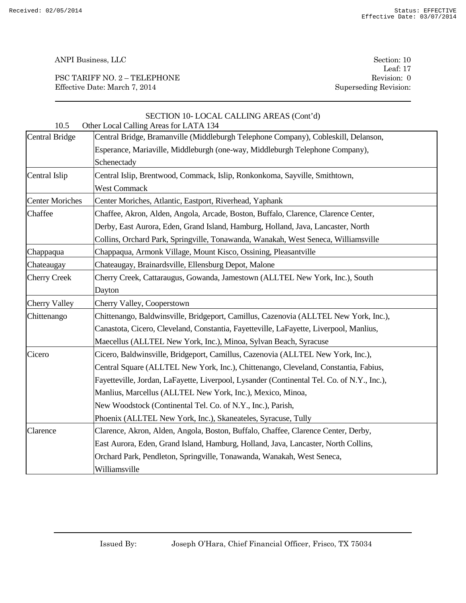PSC TARIFF NO. 2 – TELEPHONE Revision: 0 Effective Date: March 7, 2014 Superseding Revision:

Leaf: 17

| 10.5                   | SECTION 10-LOCAL CALLING AREAS (Cont'd)<br>Other Local Calling Areas for LATA 134          |
|------------------------|--------------------------------------------------------------------------------------------|
| <b>Central Bridge</b>  | Central Bridge, Bramanville (Middleburgh Telephone Company), Cobleskill, Delanson,         |
|                        | Esperance, Mariaville, Middleburgh (one-way, Middleburgh Telephone Company),               |
|                        | Schenectady                                                                                |
| Central Islip          | Central Islip, Brentwood, Commack, Islip, Ronkonkoma, Sayville, Smithtown,                 |
|                        | <b>West Commack</b>                                                                        |
| <b>Center Moriches</b> | Center Moriches, Atlantic, Eastport, Riverhead, Yaphank                                    |
| Chaffee                | Chaffee, Akron, Alden, Angola, Arcade, Boston, Buffalo, Clarence, Clarence Center,         |
|                        | Derby, East Aurora, Eden, Grand Island, Hamburg, Holland, Java, Lancaster, North           |
|                        | Collins, Orchard Park, Springville, Tonawanda, Wanakah, West Seneca, Williamsville         |
| Chappaqua              | Chappaqua, Armonk Village, Mount Kisco, Ossining, Pleasantville                            |
| Chateaugay             | Chateaugay, Brainardsville, Ellensburg Depot, Malone                                       |
| <b>Cherry Creek</b>    | Cherry Creek, Cattaraugus, Gowanda, Jamestown (ALLTEL New York, Inc.), South               |
|                        | Dayton                                                                                     |
| <b>Cherry Valley</b>   | Cherry Valley, Cooperstown                                                                 |
| Chittenango            | Chittenango, Baldwinsville, Bridgeport, Camillus, Cazenovia (ALLTEL New York, Inc.),       |
|                        | Canastota, Cicero, Cleveland, Constantia, Fayetteville, LaFayette, Liverpool, Manlius,     |
|                        | Maecellus (ALLTEL New York, Inc.), Minoa, Sylvan Beach, Syracuse                           |
| Cicero                 | Cicero, Baldwinsville, Bridgeport, Camillus, Cazenovia (ALLTEL New York, Inc.),            |
|                        | Central Square (ALLTEL New York, Inc.), Chittenango, Cleveland, Constantia, Fabius,        |
|                        | Fayetteville, Jordan, LaFayette, Liverpool, Lysander (Continental Tel. Co. of N.Y., Inc.), |
|                        | Manlius, Marcellus (ALLTEL New York, Inc.), Mexico, Minoa,                                 |
|                        | New Woodstock (Continental Tel. Co. of N.Y., Inc.), Parish,                                |
|                        | Phoenix (ALLTEL New York, Inc.), Skaneateles, Syracuse, Tully                              |
| Clarence               | Clarence, Akron, Alden, Angola, Boston, Buffalo, Chaffee, Clarence Center, Derby,          |
|                        | East Aurora, Eden, Grand Island, Hamburg, Holland, Java, Lancaster, North Collins,         |
|                        | Orchard Park, Pendleton, Springville, Tonawanda, Wanakah, West Seneca,                     |
|                        | Williamsville                                                                              |
|                        |                                                                                            |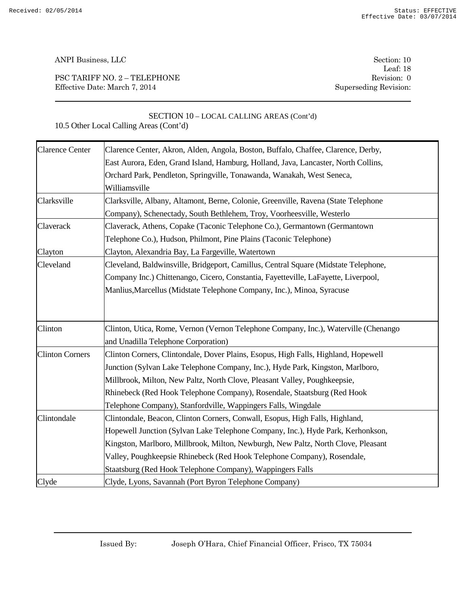PSC TARIFF NO. 2 – TELEPHONE Revision: 0 Effective Date: March 7, 2014 Superseding Revision:

Leaf: 18

SECTION 10 – LOCAL CALLING AREAS (Cont'd) 10.5 Other Local Calling Areas (Cont'd)

| <b>Clarence Center</b> | Clarence Center, Akron, Alden, Angola, Boston, Buffalo, Chaffee, Clarence, Derby,   |
|------------------------|-------------------------------------------------------------------------------------|
|                        | East Aurora, Eden, Grand Island, Hamburg, Holland, Java, Lancaster, North Collins,  |
|                        | Orchard Park, Pendleton, Springville, Tonawanda, Wanakah, West Seneca,              |
|                        | Williamsville                                                                       |
| Clarksville            | Clarksville, Albany, Altamont, Berne, Colonie, Greenville, Ravena (State Telephone  |
|                        | Company), Schenectady, South Bethlehem, Troy, Voorheesville, Westerlo               |
| Claverack              | Claverack, Athens, Copake (Taconic Telephone Co.), Germantown (Germantown           |
|                        | Telephone Co.), Hudson, Philmont, Pine Plains (Taconic Telephone)                   |
| Clayton                | Clayton, Alexandria Bay, La Fargeville, Watertown                                   |
| Cleveland              | Cleveland, Baldwinsville, Bridgeport, Camillus, Central Square (Midstate Telephone, |
|                        | Company Inc.) Chittenango, Cicero, Constantia, Fayetteville, LaFayette, Liverpool,  |
|                        | Manlius, Marcellus (Midstate Telephone Company, Inc.), Minoa, Syracuse              |
|                        |                                                                                     |
|                        |                                                                                     |
| Clinton                | Clinton, Utica, Rome, Vernon (Vernon Telephone Company, Inc.), Waterville (Chenango |
|                        | and Unadilla Telephone Corporation)                                                 |
| <b>Clinton Corners</b> | Clinton Corners, Clintondale, Dover Plains, Esopus, High Falls, Highland, Hopewell  |
|                        | Junction (Sylvan Lake Telephone Company, Inc.), Hyde Park, Kingston, Marlboro,      |
|                        | Millbrook, Milton, New Paltz, North Clove, Pleasant Valley, Poughkeepsie,           |
|                        | Rhinebeck (Red Hook Telephone Company), Rosendale, Staatsburg (Red Hook             |
|                        | Telephone Company), Stanfordville, Wappingers Falls, Wingdale                       |
| Clintondale            | Clintondale, Beacon, Clinton Corners, Conwall, Esopus, High Falls, Highland,        |
|                        | Hopewell Junction (Sylvan Lake Telephone Company, Inc.), Hyde Park, Kerhonkson,     |
|                        | Kingston, Marlboro, Millbrook, Milton, Newburgh, New Paltz, North Clove, Pleasant   |
|                        | Valley, Poughkeepsie Rhinebeck (Red Hook Telephone Company), Rosendale,             |
|                        | Staatsburg (Red Hook Telephone Company), Wappingers Falls                           |
| Clyde                  | Clyde, Lyons, Savannah (Port Byron Telephone Company)                               |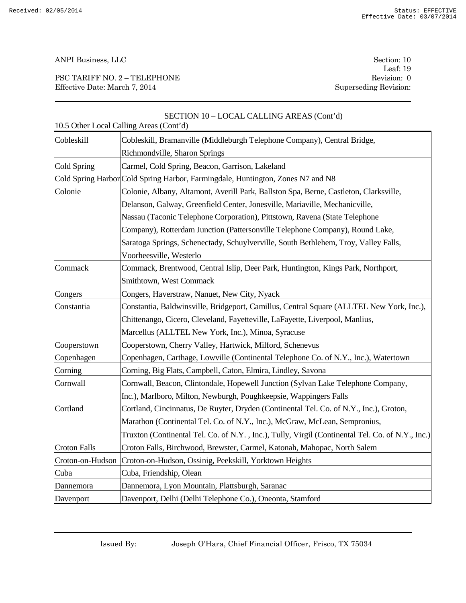PSC TARIFF NO. 2 – TELEPHONE Revision: 0 Effective Date: March 7, 2014 Superseding Revision:

Leaf: 19

|                     | $\sum$<br>10.5 Other Local Calling Areas (Cont'd)                                                |
|---------------------|--------------------------------------------------------------------------------------------------|
| Cobleskill          | Cobleskill, Bramanville (Middleburgh Telephone Company), Central Bridge,                         |
|                     | Richmondville, Sharon Springs                                                                    |
| Cold Spring         | Carmel, Cold Spring, Beacon, Garrison, Lakeland                                                  |
|                     | Cold Spring Harbor Cold Spring Harbor, Farmingdale, Huntington, Zones N7 and N8                  |
| Colonie             | Colonie, Albany, Altamont, Averill Park, Ballston Spa, Berne, Castleton, Clarksville,            |
|                     | Delanson, Galway, Greenfield Center, Jonesville, Mariaville, Mechanicville,                      |
|                     | Nassau (Taconic Telephone Corporation), Pittstown, Ravena (State Telephone                       |
|                     | Company), Rotterdam Junction (Pattersonville Telephone Company), Round Lake,                     |
|                     | Saratoga Springs, Schenectady, Schuylverville, South Bethlehem, Troy, Valley Falls,              |
|                     | Voorheesville, Westerlo                                                                          |
| Commack             | Commack, Brentwood, Central Islip, Deer Park, Huntington, Kings Park, Northport,                 |
|                     | Smithtown, West Commack                                                                          |
| Congers             | Congers, Haverstraw, Nanuet, New City, Nyack                                                     |
| Constantia          | Constantia, Baldwinsville, Bridgeport, Camillus, Central Square (ALLTEL New York, Inc.),         |
|                     | Chittenango, Cicero, Cleveland, Fayetteville, LaFayette, Liverpool, Manlius,                     |
|                     | Marcellus (ALLTEL New York, Inc.), Minoa, Syracuse                                               |
| Cooperstown         | Cooperstown, Cherry Valley, Hartwick, Milford, Schenevus                                         |
| Copenhagen          | Copenhagen, Carthage, Lowville (Continental Telephone Co. of N.Y., Inc.), Watertown              |
| Corning             | Corning, Big Flats, Campbell, Caton, Elmira, Lindley, Savona                                     |
| Cornwall            | Cornwall, Beacon, Clintondale, Hopewell Junction (Sylvan Lake Telephone Company,                 |
|                     | Inc.), Marlboro, Milton, Newburgh, Poughkeepsie, Wappingers Falls                                |
| Cortland            | Cortland, Cincinnatus, De Ruyter, Dryden (Continental Tel. Co. of N.Y., Inc.), Groton,           |
|                     | Marathon (Continental Tel. Co. of N.Y., Inc.), McGraw, McLean, Sempronius,                       |
|                     | Truxton (Continental Tel. Co. of N.Y., Inc.), Tully, Virgil (Continental Tel. Co. of N.Y., Inc.) |
| <b>Croton Falls</b> | Croton Falls, Birchwood, Brewster, Carmel, Katonah, Mahopac, North Salem                         |
|                     | Croton-on-Hudson   Croton-on-Hudson, Ossinig, Peekskill, Yorktown Heights                        |
| Cuba                | Cuba, Friendship, Olean                                                                          |
| Dannemora           | Dannemora, Lyon Mountain, Plattsburgh, Saranac                                                   |
| Davenport           | Davenport, Delhi (Delhi Telephone Co.), Oneonta, Stamford                                        |

# SECTION 10 – LOCAL CALLING AREAS (Cont'd)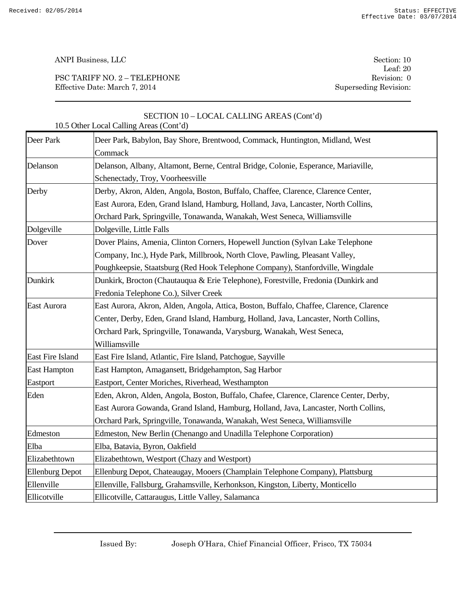PSC TARIFF NO. 2 – TELEPHONE Revision: 0 Effective Date: March 7, 2014 Superseding Revision:

Leaf: 20

|                        | SECTION 10 - LOCAL CALLING AREAS (Cont'd)<br>10.5 Other Local Calling Areas (Cont'd)    |
|------------------------|-----------------------------------------------------------------------------------------|
| Deer Park              | Deer Park, Babylon, Bay Shore, Brentwood, Commack, Huntington, Midland, West            |
|                        | Commack                                                                                 |
| Delanson               | Delanson, Albany, Altamont, Berne, Central Bridge, Colonie, Esperance, Mariaville,      |
|                        | Schenectady, Troy, Voorheesville                                                        |
| Derby                  | Derby, Akron, Alden, Angola, Boston, Buffalo, Chaffee, Clarence, Clarence Center,       |
|                        | East Aurora, Eden, Grand Island, Hamburg, Holland, Java, Lancaster, North Collins,      |
|                        | Orchard Park, Springville, Tonawanda, Wanakah, West Seneca, Williamsville               |
| Dolgeville             | Dolgeville, Little Falls                                                                |
| Dover                  | Dover Plains, Amenia, Clinton Corners, Hopewell Junction (Sylvan Lake Telephone)        |
|                        | Company, Inc.), Hyde Park, Millbrook, North Clove, Pawling, Pleasant Valley,            |
|                        | Poughkeepsie, Staatsburg (Red Hook Telephone Company), Stanfordville, Wingdale          |
| Dunkirk                | Dunkirk, Brocton (Chautauqua & Erie Telephone), Forestville, Fredonia (Dunkirk and      |
|                        | Fredonia Telephone Co.), Silver Creek                                                   |
| <b>East Aurora</b>     | East Aurora, Akron, Alden, Angola, Attica, Boston, Buffalo, Chaffee, Clarence, Clarence |
|                        | Center, Derby, Eden, Grand Island, Hamburg, Holland, Java, Lancaster, North Collins,    |
|                        | Orchard Park, Springville, Tonawanda, Varysburg, Wanakah, West Seneca,                  |
|                        | Williamsville                                                                           |
| East Fire Island       | East Fire Island, Atlantic, Fire Island, Patchogue, Sayville                            |
| <b>East Hampton</b>    | East Hampton, Amagansett, Bridgehampton, Sag Harbor                                     |
| Eastport               | Eastport, Center Moriches, Riverhead, Westhampton                                       |
| Eden                   | Eden, Akron, Alden, Angola, Boston, Buffalo, Chafee, Clarence, Clarence Center, Derby,  |
|                        | East Aurora Gowanda, Grand Island, Hamburg, Holland, Java, Lancaster, North Collins,    |
|                        | Orchard Park, Springville, Tonawanda, Wanakah, West Seneca, Williamsville               |
| Edmeston               | Edmeston, New Berlin (Chenango and Unadilla Telephone Corporation)                      |
| Elba                   | Elba, Batavia, Byron, Oakfield                                                          |
| Elizabethtown          | Elizabethtown, Westport (Chazy and Westport)                                            |
| <b>Ellenburg Depot</b> | Ellenburg Depot, Chateaugay, Mooers (Champlain Telephone Company), Plattsburg           |
| Ellenville             | Ellenville, Fallsburg, Grahamsville, Kerhonkson, Kingston, Liberty, Monticello          |
| Ellicotville           | Ellicotville, Cattaraugus, Little Valley, Salamanca                                     |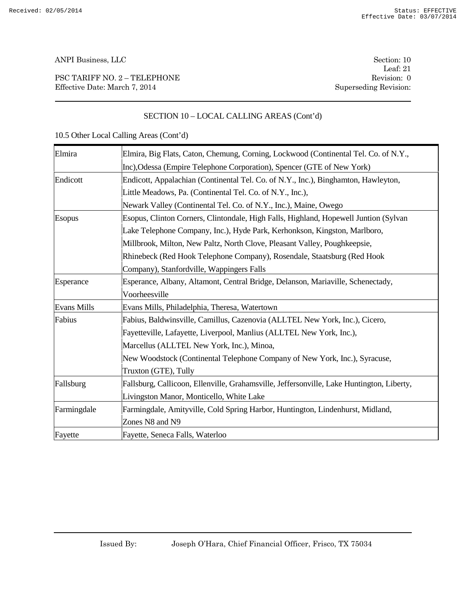PSC TARIFF NO. 2 – TELEPHONE Revision: 0 Effective Date: March 7, 2014 Superseding Revision:

Leaf: 21

# SECTION 10 – LOCAL CALLING AREAS (Cont'd)

| Elmira             | Elmira, Big Flats, Caton, Chemung, Corning, Lockwood (Continental Tel. Co. of N.Y.,       |
|--------------------|-------------------------------------------------------------------------------------------|
|                    | Inc), Odessa (Empire Telephone Corporation), Spencer (GTE of New York)                    |
| Endicott           | Endicott, Appalachian (Continental Tel. Co. of N.Y., Inc.), Binghamton, Hawleyton,        |
|                    | Little Meadows, Pa. (Continental Tel. Co. of N.Y., Inc.),                                 |
|                    | Newark Valley (Continental Tel. Co. of N.Y., Inc.), Maine, Owego                          |
| <b>Esopus</b>      | Esopus, Clinton Corners, Clintondale, High Falls, Highland, Hopewell Juntion (Sylvan)     |
|                    | Lake Telephone Company, Inc.), Hyde Park, Kerhonkson, Kingston, Marlboro,                 |
|                    | Millbrook, Milton, New Paltz, North Clove, Pleasant Valley, Poughkeepsie,                 |
|                    | Rhinebeck (Red Hook Telephone Company), Rosendale, Staatsburg (Red Hook                   |
|                    | Company), Stanfordville, Wappingers Falls                                                 |
| Esperance          | Esperance, Albany, Altamont, Central Bridge, Delanson, Mariaville, Schenectady,           |
|                    | Voorheesville                                                                             |
| <b>Evans Mills</b> | Evans Mills, Philadelphia, Theresa, Watertown                                             |
| Fabius             | Fabius, Baldwinsville, Camillus, Cazenovia (ALLTEL New York, Inc.), Cicero,               |
|                    | Fayetteville, Lafayette, Liverpool, Manlius (ALLTEL New York, Inc.),                      |
|                    | Marcellus (ALLTEL New York, Inc.), Minoa,                                                 |
|                    | New Woodstock (Continental Telephone Company of New York, Inc.), Syracuse,                |
|                    | Truxton (GTE), Tully                                                                      |
| Fallsburg          | Fallsburg, Callicoon, Ellenville, Grahamsville, Jeffersonville, Lake Huntington, Liberty, |
|                    | Livingston Manor, Monticello, White Lake                                                  |
| Farmingdale        | Farmingdale, Amityville, Cold Spring Harbor, Huntington, Lindenhurst, Midland,            |
|                    | Zones N8 and N9                                                                           |
| Fayette            | Fayette, Seneca Falls, Waterloo                                                           |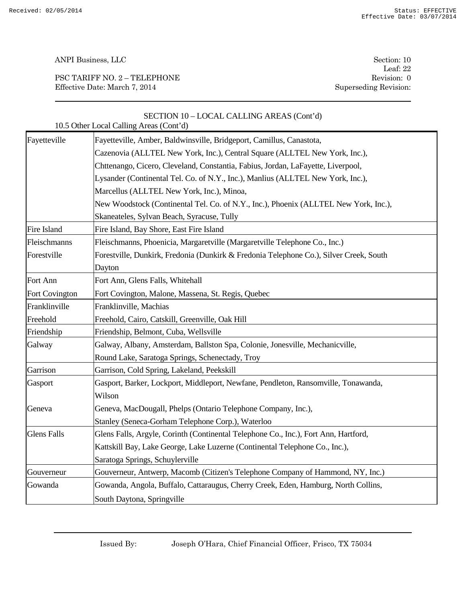PSC TARIFF NO. 2 – TELEPHONE Revision: 0 Effective Date: March 7, 2014 Superseding Revision:

Leaf: 22

|                    | SECTION 10 - LOCAL CALLING AREAS (Cont'd)<br>10.5 Other Local Calling Areas (Cont'd)   |
|--------------------|----------------------------------------------------------------------------------------|
| Fayetteville       | Fayetteville, Amber, Baldwinsville, Bridgeport, Camillus, Canastota,                   |
|                    | Cazenovia (ALLTEL New York, Inc.), Central Square (ALLTEL New York, Inc.),             |
|                    | Chttenango, Cicero, Cleveland, Constantia, Fabius, Jordan, LaFayette, Liverpool,       |
|                    | Lysander (Continental Tel. Co. of N.Y., Inc.), Manlius (ALLTEL New York, Inc.),        |
|                    | Marcellus (ALLTEL New York, Inc.), Minoa,                                              |
|                    | New Woodstock (Continental Tel. Co. of N.Y., Inc.), Phoenix (ALLTEL New York, Inc.),   |
|                    | Skaneateles, Sylvan Beach, Syracuse, Tully                                             |
| Fire Island        | Fire Island, Bay Shore, East Fire Island                                               |
| Fleischmanns       | Fleischmanns, Phoenicia, Margaretville (Margaretville Telephone Co., Inc.)             |
| Forestville        | Forestville, Dunkirk, Fredonia (Dunkirk & Fredonia Telephone Co.), Silver Creek, South |
|                    | Dayton                                                                                 |
| Fort Ann           | Fort Ann, Glens Falls, Whitehall                                                       |
| Fort Covington     | Fort Covington, Malone, Massena, St. Regis, Quebec                                     |
| Franklinville      | Franklinville, Machias                                                                 |
| Freehold           | Freehold, Cairo, Catskill, Greenville, Oak Hill                                        |
| Friendship         | Friendship, Belmont, Cuba, Wellsville                                                  |
| Galway             | Galway, Albany, Amsterdam, Ballston Spa, Colonie, Jonesville, Mechanicville,           |
|                    | Round Lake, Saratoga Springs, Schenectady, Troy                                        |
| Garrison           | Garrison, Cold Spring, Lakeland, Peekskill                                             |
| Gasport            | Gasport, Barker, Lockport, Middleport, Newfane, Pendleton, Ransomville, Tonawanda,     |
|                    | Wilson                                                                                 |
| Geneva             | Geneva, MacDougall, Phelps (Ontario Telephone Company, Inc.),                          |
|                    | Stanley (Seneca-Gorham Telephone Corp.), Waterloo                                      |
| <b>Glens Falls</b> | Glens Falls, Argyle, Corinth (Continental Telephone Co., Inc.), Fort Ann, Hartford,    |
|                    | Kattskill Bay, Lake George, Lake Luzerne (Continental Telephone Co., Inc.),            |
|                    | Saratoga Springs, Schuylerville                                                        |
| Gouverneur         | Gouverneur, Antwerp, Macomb (Citizen's Telephone Company of Hammond, NY, Inc.)         |
| Gowanda            | Gowanda, Angola, Buffalo, Cattaraugus, Cherry Creek, Eden, Hamburg, North Collins,     |
|                    | South Daytona, Springville                                                             |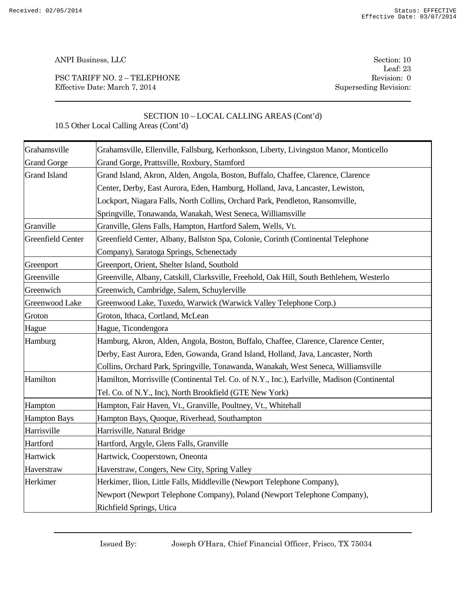PSC TARIFF NO. 2 – TELEPHONE Revision: 0 Effective Date: March 7, 2014 Superseding Revision:

Leaf: 23

# SECTION 10 – LOCAL CALLING AREAS (Cont'd)

| Grahamsville             | Grahamsville, Ellenville, Fallsburg, Kerhonkson, Liberty, Livingston Manor, Monticello      |
|--------------------------|---------------------------------------------------------------------------------------------|
| <b>Grand Gorge</b>       | Grand Gorge, Prattsville, Roxbury, Stamford                                                 |
| <b>Grand Island</b>      | Grand Island, Akron, Alden, Angola, Boston, Buffalo, Chaffee, Clarence, Clarence            |
|                          | Center, Derby, East Aurora, Eden, Hamburg, Holland, Java, Lancaster, Lewiston,              |
|                          | Lockport, Niagara Falls, North Collins, Orchard Park, Pendleton, Ransomville,               |
|                          | Springville, Tonawanda, Wanakah, West Seneca, Williamsville                                 |
| Granville                | Granville, Glens Falls, Hampton, Hartford Salem, Wells, Vt.                                 |
| <b>Greenfield Center</b> | Greenfield Center, Albany, Ballston Spa, Colonie, Corinth (Continental Telephone            |
|                          | Company), Saratoga Springs, Schenectady                                                     |
| Greenport                | Greenport, Orient, Shelter Island, Southold                                                 |
| Greenville               | Greenville, Albany, Catskill, Clarksville, Freehold, Oak Hill, South Bethlehem, Westerlo    |
| Greenwich                | Greenwich, Cambridge, Salem, Schuylerville                                                  |
| Greenwood Lake           | Greenwood Lake, Tuxedo, Warwick (Warwick Valley Telephone Corp.)                            |
| Groton                   | Groton, Ithaca, Cortland, McLean                                                            |
| Hague                    | Hague, Ticondengora                                                                         |
| Hamburg                  | Hamburg, Akron, Alden, Angola, Boston, Buffalo, Chaffee, Clarence, Clarence Center,         |
|                          | Derby, East Aurora, Eden, Gowanda, Grand Island, Holland, Java, Lancaster, North            |
|                          | Collins, Orchard Park, Springville, Tonawanda, Wanakah, West Seneca, Williamsville          |
| Hamilton                 | Hamilton, Morrisville (Continental Tel. Co. of N.Y., Inc.), Earlyille, Madison (Continental |
|                          | Tel. Co. of N.Y., Inc), North Brookfield (GTE New York)                                     |
| Hampton                  | Hampton, Fair Haven, Vt., Granville, Poultney, Vt., Whitehall                               |
| <b>Hampton Bays</b>      | Hampton Bays, Quoque, Riverhead, Southampton                                                |
| Harrisville              | Harrisville, Natural Bridge                                                                 |
| Hartford                 | Hartford, Argyle, Glens Falls, Granville                                                    |
| Hartwick                 | Hartwick, Cooperstown, Oneonta                                                              |
| Haverstraw               | Haverstraw, Congers, New City, Spring Valley                                                |
| Herkimer                 | Herkimer, Ilion, Little Falls, Middleville (Newport Telephone Company),                     |
|                          | Newport (Newport Telephone Company), Poland (Newport Telephone Company),                    |
|                          | Richfield Springs, Utica                                                                    |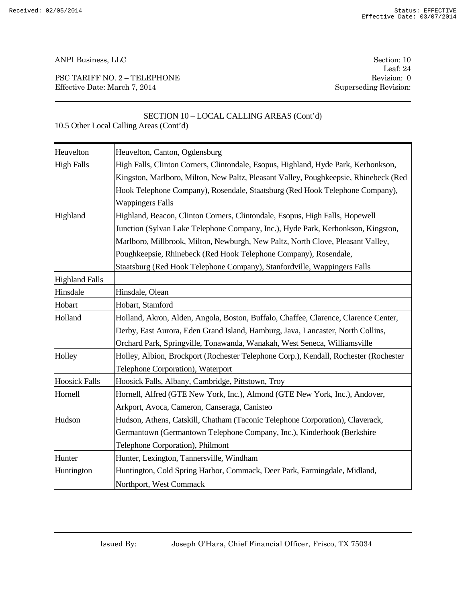PSC TARIFF NO. 2 – TELEPHONE Revision: 0 Effective Date: March 7, 2014 Superseding Revision:

Leaf: 24

### SECTION 10 – LOCAL CALLING AREAS (Cont'd) 10.5 Other Local Calling Areas (Cont'd)

| Heuvelton             | Heuvelton, Canton, Ogdensburg                                                        |
|-----------------------|--------------------------------------------------------------------------------------|
| <b>High Falls</b>     | High Falls, Clinton Corners, Clintondale, Esopus, Highland, Hyde Park, Kerhonkson,   |
|                       | Kingston, Marlboro, Milton, New Paltz, Pleasant Valley, Poughkeepsie, Rhinebeck (Red |
|                       | Hook Telephone Company), Rosendale, Staatsburg (Red Hook Telephone Company),         |
|                       | <b>Wappingers Falls</b>                                                              |
| Highland              | Highland, Beacon, Clinton Corners, Clintondale, Esopus, High Falls, Hopewell         |
|                       | Junction (Sylvan Lake Telephone Company, Inc.), Hyde Park, Kerhonkson, Kingston,     |
|                       | Marlboro, Millbrook, Milton, Newburgh, New Paltz, North Clove, Pleasant Valley,      |
|                       | Poughkeepsie, Rhinebeck (Red Hook Telephone Company), Rosendale,                     |
|                       | Staatsburg (Red Hook Telephone Company), Stanfordville, Wappingers Falls             |
| <b>Highland Falls</b> |                                                                                      |
| Hinsdale              | Hinsdale, Olean                                                                      |
| Hobart                | Hobart, Stamford                                                                     |
| Holland               | Holland, Akron, Alden, Angola, Boston, Buffalo, Chaffee, Clarence, Clarence Center,  |
|                       | Derby, East Aurora, Eden Grand Island, Hamburg, Java, Lancaster, North Collins,      |
|                       | Orchard Park, Springville, Tonawanda, Wanakah, West Seneca, Williamsville            |
| Holley                | Holley, Albion, Brockport (Rochester Telephone Corp.), Kendall, Rochester (Rochester |
|                       | Telephone Corporation), Waterport                                                    |
| <b>Hoosick Falls</b>  | Hoosick Falls, Albany, Cambridge, Pittstown, Troy                                    |
| Hornell               | Hornell, Alfred (GTE New York, Inc.), Almond (GTE New York, Inc.), Andover,          |
|                       | Arkport, Avoca, Cameron, Canseraga, Canisteo                                         |
| Hudson                | Hudson, Athens, Catskill, Chatham (Taconic Telephone Corporation), Claverack,        |
|                       | Germantown (Germantown Telephone Company, Inc.), Kinderhook (Berkshire               |
|                       | Telephone Corporation), Philmont                                                     |
| Hunter                | Hunter, Lexington, Tannersville, Windham                                             |
| Huntington            | Huntington, Cold Spring Harbor, Commack, Deer Park, Farmingdale, Midland,            |
|                       | Northport, West Commack                                                              |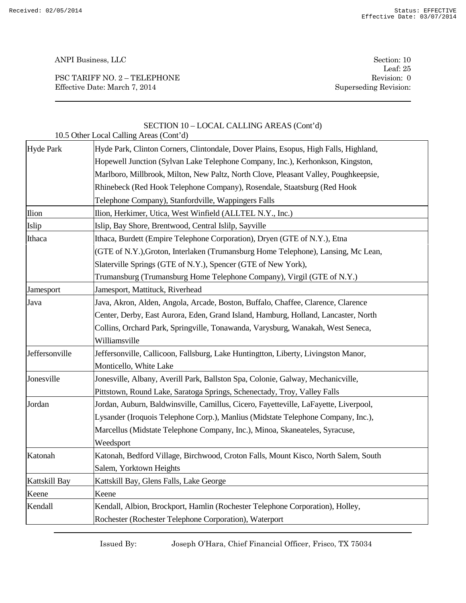PSC TARIFF NO. 2 – TELEPHONE Revision: 0 Effective Date: March 7, 2014 Superseding Revision:

Leaf: 25

| 10.5 Other Local Calling Areas (Cont'd) |                                                                                      |  |
|-----------------------------------------|--------------------------------------------------------------------------------------|--|
| <b>Hyde Park</b>                        | Hyde Park, Clinton Corners, Clintondale, Dover Plains, Esopus, High Falls, Highland, |  |
|                                         | Hopewell Junction (Sylvan Lake Telephone Company, Inc.), Kerhonkson, Kingston,       |  |
|                                         | Marlboro, Millbrook, Milton, New Paltz, North Clove, Pleasant Valley, Poughkeepsie,  |  |
|                                         | Rhinebeck (Red Hook Telephone Company), Rosendale, Staatsburg (Red Hook              |  |
|                                         | Telephone Company), Stanfordville, Wappingers Falls                                  |  |
| Ilion                                   | Ilion, Herkimer, Utica, West Winfield (ALLTEL N.Y., Inc.)                            |  |
| Islip                                   | Islip, Bay Shore, Brentwood, Central Islilp, Sayville                                |  |
| Ithaca                                  | Ithaca, Burdett (Empire Telephone Corporation), Dryen (GTE of N.Y.), Etna            |  |
|                                         | (GTE of N.Y.), Groton, Interlaken (Trumansburg Home Telephone), Lansing, Mc Lean,    |  |
|                                         | Slaterville Springs (GTE of N.Y.), Spencer (GTE of New York),                        |  |
|                                         | Trumansburg (Trumansburg Home Telephone Company), Virgil (GTE of N.Y.)               |  |
| Jamesport                               | Jamesport, Mattituck, Riverhead                                                      |  |
| Java                                    | Java, Akron, Alden, Angola, Arcade, Boston, Buffalo, Chaffee, Clarence, Clarence     |  |
|                                         | Center, Derby, East Aurora, Eden, Grand Island, Hamburg, Holland, Lancaster, North   |  |
|                                         | Collins, Orchard Park, Springville, Tonawanda, Varysburg, Wanakah, West Seneca,      |  |
|                                         | Williamsville                                                                        |  |
| Jeffersonville                          | Jeffersonville, Callicoon, Fallsburg, Lake Huntingtton, Liberty, Livingston Manor,   |  |
|                                         | Monticello, White Lake                                                               |  |
| Jonesville                              | Jonesville, Albany, Averill Park, Ballston Spa, Colonie, Galway, Mechanicville,      |  |
|                                         | Pittstown, Round Lake, Saratoga Springs, Schenectady, Troy, Valley Falls             |  |
| Jordan                                  | Jordan, Auburn, Baldwinsville, Camillus, Cicero, Fayetteville, LaFayette, Liverpool, |  |
|                                         | Lysander (Iroquois Telephone Corp.), Manlius (Midstate Telephone Company, Inc.),     |  |
|                                         | Marcellus (Midstate Telephone Company, Inc.), Minoa, Skaneateles, Syracuse,          |  |
|                                         | Weedsport                                                                            |  |
| Katonah                                 | Katonah, Bedford Village, Birchwood, Croton Falls, Mount Kisco, North Salem, South   |  |
|                                         | Salem, Yorktown Heights                                                              |  |
| Kattskill Bay                           | Kattskill Bay, Glens Falls, Lake George                                              |  |
| Keene                                   | Keene                                                                                |  |
| Kendall                                 | Kendall, Albion, Brockport, Hamlin (Rochester Telephone Corporation), Holley,        |  |
|                                         | Rochester (Rochester Telephone Corporation), Waterport                               |  |

# SECTION 10 – LOCAL CALLING AREAS (Cont'd)

Issued By: Joseph O'Hara, Chief Financial Officer, Frisco, TX 75034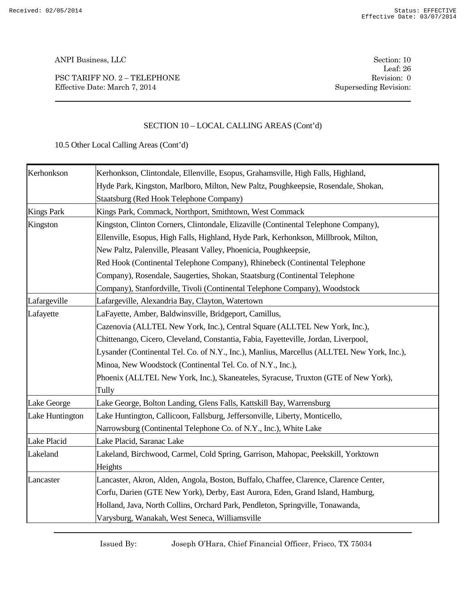PSC TARIFF NO. 2 – TELEPHONE Revision: 0 Effective Date: March 7, 2014 Superseding Revision:

Leaf: 26

# SECTION 10 – LOCAL CALLING AREAS (Cont'd)

10.5 Other Local Calling Areas (Cont'd)

| Kerhonkson        | Kerhonkson, Clintondale, Ellenville, Esopus, Grahamsville, High Falls, Highland,           |
|-------------------|--------------------------------------------------------------------------------------------|
|                   | Hyde Park, Kingston, Marlboro, Milton, New Paltz, Poughkeepsie, Rosendale, Shokan,         |
|                   | Staatsburg (Red Hook Telephone Company)                                                    |
| <b>Kings Park</b> | Kings Park, Commack, Northport, Smithtown, West Commack                                    |
| Kingston          | Kingston, Clinton Corners, Clintondale, Elizaville (Continental Telephone Company),        |
|                   | Ellenville, Esopus, High Falls, Highland, Hyde Park, Kerhonkson, Millbrook, Milton,        |
|                   | New Paltz, Palenville, Pleasant Valley, Phoenicia, Poughkeepsie,                           |
|                   | Red Hook (Continental Telephone Company), Rhinebeck (Continental Telephone                 |
|                   | Company), Rosendale, Saugerties, Shokan, Staatsburg (Continental Telephone                 |
|                   | Company), Stanfordville, Tivoli (Continental Telephone Company), Woodstock                 |
| Lafargeville      | Lafargeville, Alexandria Bay, Clayton, Watertown                                           |
| Lafayette         | LaFayette, Amber, Baldwinsville, Bridgeport, Camillus,                                     |
|                   | Cazenovia (ALLTEL New York, Inc.), Central Square (ALLTEL New York, Inc.),                 |
|                   | Chittenango, Cicero, Cleveland, Constantia, Fabia, Fayetteville, Jordan, Liverpool,        |
|                   | Lysander (Continental Tel. Co. of N.Y., Inc.), Manlius, Marcellus (ALLTEL New York, Inc.), |
|                   | Minoa, New Woodstock (Continental Tel. Co. of N.Y., Inc.),                                 |
|                   | Phoenix (ALLTEL New York, Inc.), Skaneateles, Syracuse, Truxton (GTE of New York),         |
|                   | Tully                                                                                      |
| Lake George       | Lake George, Bolton Landing, Glens Falls, Kattskill Bay, Warrensburg                       |
| Lake Huntington   | Lake Huntington, Callicoon, Fallsburg, Jeffersonville, Liberty, Monticello,                |
|                   | Narrowsburg (Continental Telephone Co. of N.Y., Inc.), White Lake                          |
| Lake Placid       | Lake Placid, Saranac Lake                                                                  |
| Lakeland          | Lakeland, Birchwood, Carmel, Cold Spring, Garrison, Mahopac, Peekskill, Yorktown           |
|                   | Heights                                                                                    |
| Lancaster         | Lancaster, Akron, Alden, Angola, Boston, Buffalo, Chaffee, Clarence, Clarence Center,      |
|                   | Corfu, Darien (GTE New York), Derby, East Aurora, Eden, Grand Island, Hamburg,             |
|                   | Holland, Java, North Collins, Orchard Park, Pendleton, Springville, Tonawanda,             |
|                   | Varysburg, Wanakah, West Seneca, Williamsville                                             |

Issued By: Joseph O'Hara, Chief Financial Officer, Frisco, TX 75034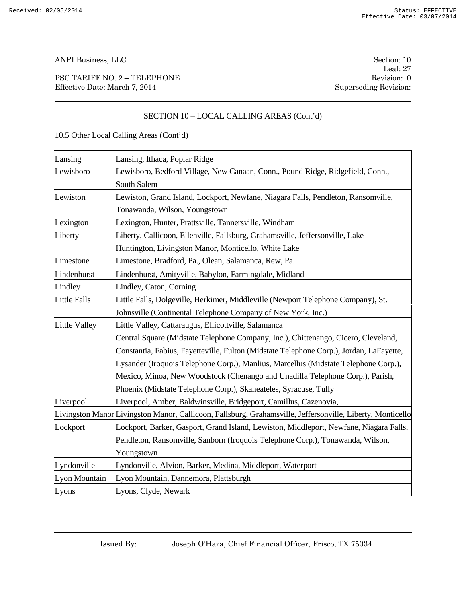PSC TARIFF NO. 2 – TELEPHONE Revision: 0 Effective Date: March 7, 2014 Superseding Revision:

Leaf: 27

# SECTION 10 – LOCAL CALLING AREAS (Cont'd)

| Lansing              | Lansing, Ithaca, Poplar Ridge                                                                              |
|----------------------|------------------------------------------------------------------------------------------------------------|
| Lewisboro            | Lewisboro, Bedford Village, New Canaan, Conn., Pound Ridge, Ridgefield, Conn.,                             |
|                      | South Salem                                                                                                |
| Lewiston             | Lewiston, Grand Island, Lockport, Newfane, Niagara Falls, Pendleton, Ransomville,                          |
|                      | Tonawanda, Wilson, Youngstown                                                                              |
| Lexington            | Lexington, Hunter, Prattsville, Tannersville, Windham                                                      |
| Liberty              | Liberty, Callicoon, Ellenville, Fallsburg, Grahamsville, Jeffersonville, Lake                              |
|                      | Huntington, Livingston Manor, Monticello, White Lake                                                       |
| Limestone            | Limestone, Bradford, Pa., Olean, Salamanca, Rew, Pa.                                                       |
| Lindenhurst          | Lindenhurst, Amityville, Babylon, Farmingdale, Midland                                                     |
| Lindley              | Lindley, Caton, Corning                                                                                    |
| <b>Little Falls</b>  | Little Falls, Dolgeville, Herkimer, Middleville (Newport Telephone Company), St.                           |
|                      | Johnsville (Continental Telephone Company of New York, Inc.)                                               |
| <b>Little Valley</b> | Little Valley, Cattaraugus, Ellicottville, Salamanca                                                       |
|                      | Central Square (Midstate Telephone Company, Inc.), Chittenango, Cicero, Cleveland,                         |
|                      | Constantia, Fabius, Fayetteville, Fulton (Midstate Telephone Corp.), Jordan, LaFayette,                    |
|                      | Lysander (Iroquois Telephone Corp.), Manlius, Marcellus (Midstate Telephone Corp.),                        |
|                      | Mexico, Minoa, New Woodstock (Chenango and Unadilla Telephone Corp.), Parish,                              |
|                      | Phoenix (Midstate Telephone Corp.), Skaneateles, Syracuse, Tully                                           |
| Liverpool            | Liverpool, Amber, Baldwinsville, Bridgeport, Camillus, Cazenovia,                                          |
|                      | Livingston Manor Livingston Manor, Callicoon, Fallsburg, Grahamsville, Jeffersonville, Liberty, Monticello |
| Lockport             | Lockport, Barker, Gasport, Grand Island, Lewiston, Middleport, Newfane, Niagara Falls,                     |
|                      | Pendleton, Ransomville, Sanborn (Iroquois Telephone Corp.), Tonawanda, Wilson,                             |
|                      | Youngstown                                                                                                 |
| Lyndonville          | Lyndonville, Alvion, Barker, Medina, Middleport, Waterport                                                 |
| Lyon Mountain        | Lyon Mountain, Dannemora, Plattsburgh                                                                      |
| Lyons                | Lyons, Clyde, Newark                                                                                       |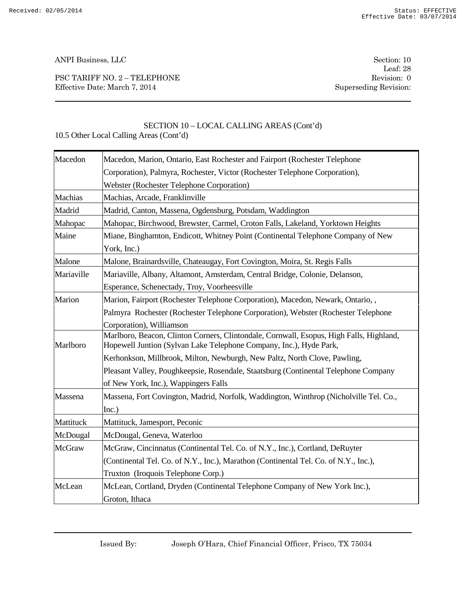PSC TARIFF NO. 2 – TELEPHONE Revision: 0 Effective Date: March 7, 2014 Superseding Revision:

Leaf: 28

# SECTION 10 – LOCAL CALLING AREAS (Cont'd)

| Macedon       | Macedon, Marion, Ontario, East Rochester and Fairport (Rochester Telephone                                                                                    |
|---------------|---------------------------------------------------------------------------------------------------------------------------------------------------------------|
|               | Corporation), Palmyra, Rochester, Victor (Rochester Telephone Corporation),                                                                                   |
|               | Webster (Rochester Telephone Corporation)                                                                                                                     |
| Machias       | Machias, Arcade, Franklinville                                                                                                                                |
| Madrid        | Madrid, Canton, Massena, Ogdensburg, Potsdam, Waddington                                                                                                      |
| Mahopac       | Mahopac, Birchwood, Brewster, Carmel, Croton Falls, Lakeland, Yorktown Heights                                                                                |
| Maine         | Miane, Binghamton, Endicott, Whitney Point (Continental Telephone Company of New                                                                              |
|               | York, Inc.)                                                                                                                                                   |
| Malone        | Malone, Brainardsville, Chateaugay, Fort Covington, Moira, St. Regis Falls                                                                                    |
| Mariaville    | Mariaville, Albany, Altamont, Amsterdam, Central Bridge, Colonie, Delanson,                                                                                   |
|               | Esperance, Schenectady, Troy, Voorheesville                                                                                                                   |
| Marion        | Marion, Fairport (Rochester Telephone Corporation), Macedon, Newark, Ontario,,                                                                                |
|               | Palmyra Rochester (Rochester Telephone Corporation), Webster (Rochester Telephone                                                                             |
|               | Corporation), Williamson                                                                                                                                      |
| Marlboro      | Marlboro, Beacon, Clinton Corners, Clintondale, Cornwall, Esopus, High Falls, Highland,<br>Hopewell Juntion (Sylvan Lake Telephone Company, Inc.), Hyde Park, |
|               | Kerhonkson, Millbrook, Milton, Newburgh, New Paltz, North Clove, Pawling,                                                                                     |
|               | Pleasant Valley, Poughkeepsie, Rosendale, Staatsburg (Continental Telephone Company                                                                           |
|               | of New York, Inc.), Wappingers Falls                                                                                                                          |
| Massena       | Massena, Fort Covington, Madrid, Norfolk, Waddington, Winthrop (Nicholville Tel. Co.,                                                                         |
|               | Inc.)                                                                                                                                                         |
| Mattituck     | Mattituck, Jamesport, Peconic                                                                                                                                 |
| McDougal      | McDougal, Geneva, Waterloo                                                                                                                                    |
| <b>McGraw</b> | McGraw, Cincinnatus (Continental Tel. Co. of N.Y., Inc.), Cortland, DeRuyter                                                                                  |
|               | (Continental Tel. Co. of N.Y., Inc.), Marathon (Continental Tel. Co. of N.Y., Inc.),                                                                          |
|               | Truxton (Iroquois Telephone Corp.)                                                                                                                            |
| McLean        | McLean, Cortland, Dryden (Continental Telephone Company of New York Inc.),                                                                                    |
|               | Groton, Ithaca                                                                                                                                                |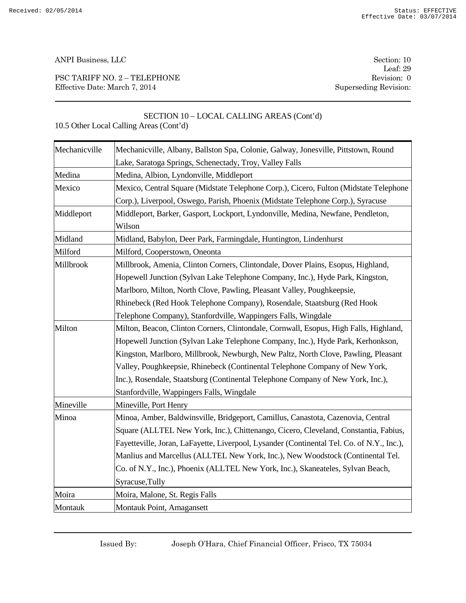PSC TARIFF NO. 2 – TELEPHONE Revision: 0 Effective Date: March 7, 2014 Superseding Revision:

Leaf: 29

# SECTION 10 – LOCAL CALLING AREAS (Cont'd) 10.5 Other Local Calling Areas (Cont'd)

| Mechanicville | Mechanicville, Albany, Ballston Spa, Colonie, Galway, Jonesville, Pittstown, Round        |
|---------------|-------------------------------------------------------------------------------------------|
|               | Lake, Saratoga Springs, Schenectady, Troy, Valley Falls                                   |
| Medina        | Medina, Albion, Lyndonville, Middleport                                                   |
| Mexico        | Mexico, Central Square (Midstate Telephone Corp.), Cicero, Fulton (Midstate Telephone     |
|               | Corp.), Liverpool, Oswego, Parish, Phoenix (Midstate Telephone Corp.), Syracuse           |
| Middleport    | Middleport, Barker, Gasport, Lockport, Lyndonville, Medina, Newfane, Pendleton,           |
|               | Wilson                                                                                    |
| Midland       | Midland, Babylon, Deer Park, Farmingdale, Huntington, Lindenhurst                         |
| Milford       | Milford, Cooperstown, Oneonta                                                             |
| Millbrook     | Millbrook, Amenia, Clinton Corners, Clintondale, Dover Plains, Esopus, Highland,          |
|               | Hopewell Junction (Sylvan Lake Telephone Company, Inc.), Hyde Park, Kingston,             |
|               | Marlboro, Milton, North Clove, Pawling, Pleasant Valley, Poughkeepsie,                    |
|               | Rhinebeck (Red Hook Telephone Company), Rosendale, Staatsburg (Red Hook                   |
|               | Telephone Company), Stanfordville, Wappingers Falls, Wingdale                             |
| Milton        | Milton, Beacon, Clinton Corners, Clintondale, Cornwall, Esopus, High Falls, Highland,     |
|               | Hopewell Junction (Sylvan Lake Telephone Company, Inc.), Hyde Park, Kerhonkson,           |
|               | Kingston, Marlboro, Millbrook, Newburgh, New Paltz, North Clove, Pawling, Pleasant        |
|               | Valley, Poughkeepsie, Rhinebeck (Continental Telephone Company of New York,               |
|               | Inc.), Rosendale, Staatsburg (Continental Telephone Company of New York, Inc.),           |
|               | Stanfordville, Wappingers Falls, Wingdale                                                 |
| Mineville     | Mineville, Port Henry                                                                     |
| Minoa         | Minoa, Amber, Baldwinsville, Bridgeport, Camillus, Canastota, Cazenovia, Central          |
|               | Square (ALLTEL New York, Inc.), Chittenango, Cicero, Cleveland, Constantia, Fabius,       |
|               | Fayetteville, Joran, LaFayette, Liverpool, Lysander (Continental Tel. Co. of N.Y., Inc.), |
|               | Manlius and Marcellus (ALLTEL New York, Inc.), New Woodstock (Continental Tel.            |
|               | Co. of N.Y., Inc.), Phoenix (ALLTEL New York, Inc.), Skaneateles, Sylvan Beach,           |
|               | Syracuse, Tully                                                                           |
| Moira         | Moira, Malone, St. Regis Falls                                                            |
| Montauk       | Montauk Point, Amagansett                                                                 |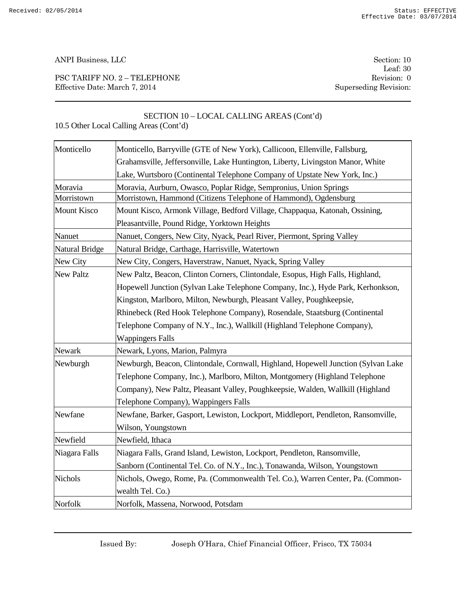PSC TARIFF NO. 2 – TELEPHONE Revision: 0 Effective Date: March 7, 2014 Superseding Revision:

Leaf: 30

|                  | 10.5 Other Local Calling Areas (Cont'd)                                           |
|------------------|-----------------------------------------------------------------------------------|
| Monticello       | Monticello, Barryville (GTE of New York), Callicoon, Ellenville, Fallsburg,       |
|                  | Grahamsville, Jeffersonville, Lake Huntington, Liberty, Livingston Manor, White   |
|                  | Lake, Wurtsboro (Continental Telephone Company of Upstate New York, Inc.)         |
| Moravia          | Moravia, Aurburn, Owasco, Poplar Ridge, Sempronius, Union Springs                 |
| Morristown       | Morristown, Hammond (Citizens Telephone of Hammond), Ogdensburg                   |
| Mount Kisco      | Mount Kisco, Armonk Village, Bedford Village, Chappaqua, Katonah, Ossining,       |
|                  | Pleasantville, Pound Ridge, Yorktown Heights                                      |
| Nanuet           | Nanuet, Congers, New City, Nyack, Pearl River, Piermont, Spring Valley            |
| Natural Bridge   | Natural Bridge, Carthage, Harrisville, Watertown                                  |
| New City         | New City, Congers, Haverstraw, Nanuet, Nyack, Spring Valley                       |
| <b>New Paltz</b> | New Paltz, Beacon, Clinton Corners, Clintondale, Esopus, High Falls, Highland,    |
|                  | Hopewell Junction (Sylvan Lake Telephone Company, Inc.), Hyde Park, Kerhonkson,   |
|                  | Kingston, Marlboro, Milton, Newburgh, Pleasant Valley, Poughkeepsie,              |
|                  | Rhinebeck (Red Hook Telephone Company), Rosendale, Staatsburg (Continental        |
|                  | Telephone Company of N.Y., Inc.), Wallkill (Highland Telephone Company),          |
|                  | <b>Wappingers Falls</b>                                                           |
| Newark           | Newark, Lyons, Marion, Palmyra                                                    |
| Newburgh         | Newburgh, Beacon, Clintondale, Cornwall, Highland, Hopewell Junction (Sylvan Lake |
|                  | Telephone Company, Inc.), Marlboro, Milton, Montgomery (Highland Telephone        |
|                  | Company), New Paltz, Pleasant Valley, Poughkeepsie, Walden, Wallkill (Highland    |
|                  | Telephone Company), Wappingers Falls                                              |
| Newfane          | Newfane, Barker, Gasport, Lewiston, Lockport, Middleport, Pendleton, Ransomville, |
|                  | Wilson, Youngstown                                                                |
| Newfield         | Newfield, Ithaca                                                                  |
| Niagara Falls    | Niagara Falls, Grand Island, Lewiston, Lockport, Pendleton, Ransomville,          |
|                  | Sanborn (Continental Tel. Co. of N.Y., Inc.), Tonawanda, Wilson, Youngstown       |
| Nichols          | Nichols, Owego, Rome, Pa. (Commonwealth Tel. Co.), Warren Center, Pa. (Common-    |
|                  | wealth Tel. Co.)                                                                  |

SECTION 10 – LOCAL CALLING AREAS (Cont'd)

Issued By: Joseph O'Hara, Chief Financial Officer, Frisco, TX 75034

Norfolk Norfolk, Massena, Norwood, Potsdam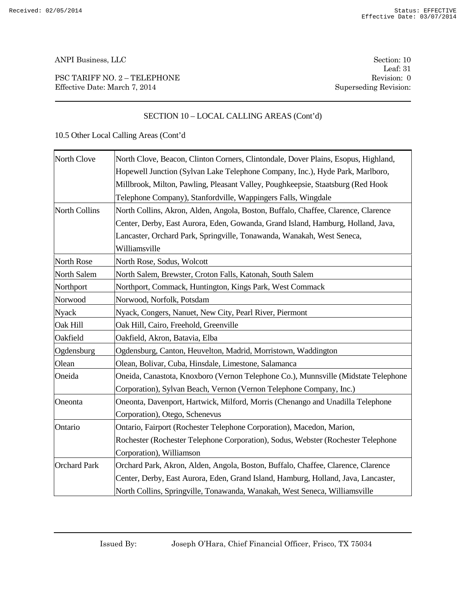PSC TARIFF NO. 2 – TELEPHONE Revision: 0 Effective Date: March 7, 2014 Superseding Revision:

Leaf: 31

# SECTION 10 – LOCAL CALLING AREAS (Cont'd)

| North Clove          | North Clove, Beacon, Clinton Corners, Clintondale, Dover Plains, Esopus, Highland, |
|----------------------|------------------------------------------------------------------------------------|
|                      | Hopewell Junction (Sylvan Lake Telephone Company, Inc.), Hyde Park, Marlboro,      |
|                      | Millbrook, Milton, Pawling, Pleasant Valley, Poughkeepsie, Staatsburg (Red Hook    |
|                      | Telephone Company), Stanfordville, Wappingers Falls, Wingdale                      |
| <b>North Collins</b> | North Collins, Akron, Alden, Angola, Boston, Buffalo, Chaffee, Clarence, Clarence  |
|                      | Center, Derby, East Aurora, Eden, Gowanda, Grand Island, Hamburg, Holland, Java,   |
|                      | Lancaster, Orchard Park, Springville, Tonawanda, Wanakah, West Seneca,             |
|                      | Williamsville                                                                      |
| North Rose           | North Rose, Sodus, Wolcott                                                         |
| North Salem          | North Salem, Brewster, Croton Falls, Katonah, South Salem                          |
| Northport            | Northport, Commack, Huntington, Kings Park, West Commack                           |
| Norwood              | Norwood, Norfolk, Potsdam                                                          |
| <b>Nyack</b>         | Nyack, Congers, Nanuet, New City, Pearl River, Piermont                            |
| Oak Hill             | Oak Hill, Cairo, Freehold, Greenville                                              |
| Oakfield             | Oakfield, Akron, Batavia, Elba                                                     |
| Ogdensburg           | Ogdensburg, Canton, Heuvelton, Madrid, Morristown, Waddington                      |
| Olean                | Olean, Bolivar, Cuba, Hinsdale, Limestone, Salamanca                               |
| Oneida               | Oneida, Canastota, Knoxboro (Vernon Telephone Co.), Munnsville (Midstate Telephone |
|                      | Corporation), Sylvan Beach, Vernon (Vernon Telephone Company, Inc.)                |
| Oneonta              | Oneonta, Davenport, Hartwick, Milford, Morris (Chenango and Unadilla Telephone     |
|                      | Corporation), Otego, Schenevus                                                     |
| Ontario              | Ontario, Fairport (Rochester Telephone Corporation), Macedon, Marion,              |
|                      | Rochester (Rochester Telephone Corporation), Sodus, Webster (Rochester Telephone   |
|                      | Corporation), Williamson                                                           |
| <b>Orchard Park</b>  | Orchard Park, Akron, Alden, Angola, Boston, Buffalo, Chaffee, Clarence, Clarence   |
|                      | Center, Derby, East Aurora, Eden, Grand Island, Hamburg, Holland, Java, Lancaster, |
|                      | North Collins, Springville, Tonawanda, Wanakah, West Seneca, Williamsville         |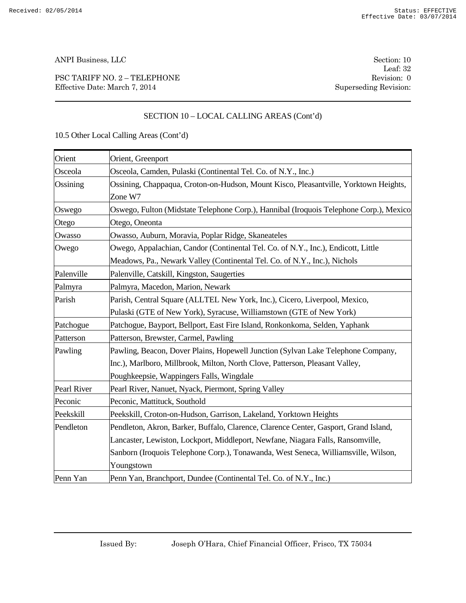PSC TARIFF NO. 2 – TELEPHONE Revision: 0 Effective Date: March 7, 2014 Superseding Revision:

Leaf: 32

# SECTION 10 – LOCAL CALLING AREAS (Cont'd)

| Orient      | Orient, Greenport                                                                                                                                                                                                                                                           |
|-------------|-----------------------------------------------------------------------------------------------------------------------------------------------------------------------------------------------------------------------------------------------------------------------------|
| Osceola     | Osceola, Camden, Pulaski (Continental Tel. Co. of N.Y., Inc.)                                                                                                                                                                                                               |
| Ossining    | Ossining, Chappaqua, Croton-on-Hudson, Mount Kisco, Pleasantville, Yorktown Heights,<br>Zone W7                                                                                                                                                                             |
| Oswego      | Oswego, Fulton (Midstate Telephone Corp.), Hannibal (Iroquois Telephone Corp.), Mexico                                                                                                                                                                                      |
| Otego       | Otego, Oneonta                                                                                                                                                                                                                                                              |
| Owasso      | Owasso, Auburn, Moravia, Poplar Ridge, Skaneateles                                                                                                                                                                                                                          |
| Owego       | Owego, Appalachian, Candor (Continental Tel. Co. of N.Y., Inc.), Endicott, Little<br>Meadows, Pa., Newark Valley (Continental Tel. Co. of N.Y., Inc.), Nichols                                                                                                              |
| Palenville  | Palenville, Catskill, Kingston, Saugerties                                                                                                                                                                                                                                  |
| Palmyra     | Palmyra, Macedon, Marion, Newark                                                                                                                                                                                                                                            |
| Parish      | Parish, Central Square (ALLTEL New York, Inc.), Cicero, Liverpool, Mexico,                                                                                                                                                                                                  |
|             | Pulaski (GTE of New York), Syracuse, Williamstown (GTE of New York)                                                                                                                                                                                                         |
| Patchogue   | Patchogue, Bayport, Bellport, East Fire Island, Ronkonkoma, Selden, Yaphank                                                                                                                                                                                                 |
| Patterson   | Patterson, Brewster, Carmel, Pawling                                                                                                                                                                                                                                        |
| Pawling     | Pawling, Beacon, Dover Plains, Hopewell Junction (Sylvan Lake Telephone Company,<br>Inc.), Marlboro, Millbrook, Milton, North Clove, Patterson, Pleasant Valley,<br>Poughkeepsie, Wappingers Falls, Wingdale                                                                |
| Pearl River | Pearl River, Nanuet, Nyack, Piermont, Spring Valley                                                                                                                                                                                                                         |
| Peconic     | Peconic, Mattituck, Southold                                                                                                                                                                                                                                                |
| Peekskill   | Peekskill, Croton-on-Hudson, Garrison, Lakeland, Yorktown Heights                                                                                                                                                                                                           |
| Pendleton   | Pendleton, Akron, Barker, Buffalo, Clarence, Clarence Center, Gasport, Grand Island,<br>Lancaster, Lewiston, Lockport, Middleport, Newfane, Niagara Falls, Ransomville,<br>Sanborn (Iroquois Telephone Corp.), Tonawanda, West Seneca, Williamsville, Wilson,<br>Youngstown |
| Penn Yan    | Penn Yan, Branchport, Dundee (Continental Tel. Co. of N.Y., Inc.)                                                                                                                                                                                                           |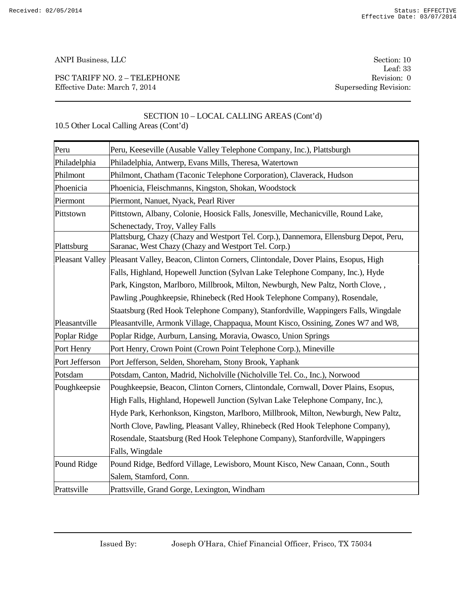PSC TARIFF NO. 2 – TELEPHONE Revision: 0 Effective Date: March 7, 2014 Superseding Revision:

Leaf: 33

# SECTION 10 – LOCAL CALLING AREAS (Cont'd)

| Peru           | Peru, Keeseville (Ausable Valley Telephone Company, Inc.), Plattsburgh                                                                       |
|----------------|----------------------------------------------------------------------------------------------------------------------------------------------|
| Philadelphia   | Philadelphia, Antwerp, Evans Mills, Theresa, Watertown                                                                                       |
| Philmont       | Philmont, Chatham (Taconic Telephone Corporation), Claverack, Hudson                                                                         |
| Phoenicia      | Phoenicia, Fleischmanns, Kingston, Shokan, Woodstock                                                                                         |
| Piermont       | Piermont, Nanuet, Nyack, Pearl River                                                                                                         |
| Pittstown      | Pittstown, Albany, Colonie, Hoosick Falls, Jonesville, Mechanicville, Round Lake,                                                            |
|                | Schenectady, Troy, Valley Falls                                                                                                              |
| Plattsburg     | Plattsburg, Chazy (Chazy and Westport Tel. Corp.), Dannemora, Ellensburg Depot, Peru,<br>Saranac, West Chazy (Chazy and Westport Tel. Corp.) |
|                | Pleasant Valley Pleasant Valley, Beacon, Clinton Corners, Clintondale, Dover Plains, Esopus, High                                            |
|                | Falls, Highland, Hopewell Junction (Sylvan Lake Telephone Company, Inc.), Hyde                                                               |
|                | Park, Kingston, Marlboro, Millbrook, Milton, Newburgh, New Paltz, North Clove,,                                                              |
|                | Pawling , Poughkeepsie, Rhinebeck (Red Hook Telephone Company), Rosendale,                                                                   |
|                | Staatsburg (Red Hook Telephone Company), Stanfordville, Wappingers Falls, Wingdale                                                           |
| Pleasantville  | Pleasantville, Armonk Village, Chappaqua, Mount Kisco, Ossining, Zones W7 and W8,                                                            |
| Poplar Ridge   | Poplar Ridge, Aurburn, Lansing, Moravia, Owasco, Union Springs                                                                               |
| Port Henry     | Port Henry, Crown Point (Crown Point Telephone Corp.), Mineville                                                                             |
| Port Jefferson | Port Jefferson, Selden, Shoreham, Stony Brook, Yaphank                                                                                       |
| Potsdam        | Potsdam, Canton, Madrid, Nicholville (Nicholville Tel. Co., Inc.), Norwood                                                                   |
| Poughkeepsie   | Poughkeepsie, Beacon, Clinton Corners, Clintondale, Cornwall, Dover Plains, Esopus,                                                          |
|                | High Falls, Highland, Hopewell Junction (Sylvan Lake Telephone Company, Inc.),                                                               |
|                | Hyde Park, Kerhonkson, Kingston, Marlboro, Millbrook, Milton, Newburgh, New Paltz,                                                           |
|                | North Clove, Pawling, Pleasant Valley, Rhinebeck (Red Hook Telephone Company),                                                               |
|                | Rosendale, Staatsburg (Red Hook Telephone Company), Stanfordville, Wappingers                                                                |
|                | Falls, Wingdale                                                                                                                              |
| Pound Ridge    | Pound Ridge, Bedford Village, Lewisboro, Mount Kisco, New Canaan, Conn., South                                                               |
|                | Salem, Stamford, Conn.                                                                                                                       |
| Prattsville    | Prattsville, Grand Gorge, Lexington, Windham                                                                                                 |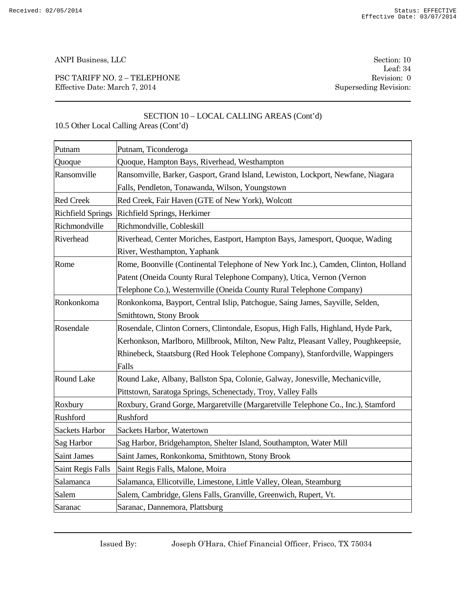PSC TARIFF NO. 2 – TELEPHONE Revision: 0 Effective Date: March 7, 2014 Superseding Revision:

Leaf: 34

# SECTION 10 – LOCAL CALLING AREAS (Cont'd) 10.5 Other Local Calling Areas (Cont'd)

| Putnam                   | Putnam, Ticonderoga                                                                |
|--------------------------|------------------------------------------------------------------------------------|
| Quoque                   | Quoque, Hampton Bays, Riverhead, Westhampton                                       |
| Ransomville              | Ransomville, Barker, Gasport, Grand Island, Lewiston, Lockport, Newfane, Niagara   |
|                          | Falls, Pendleton, Tonawanda, Wilson, Youngstown                                    |
| <b>Red Creek</b>         | Red Creek, Fair Haven (GTE of New York), Wolcott                                   |
|                          | Richfield Springs   Richfield Springs, Herkimer                                    |
| Richmondville            | Richmondville, Cobleskill                                                          |
| Riverhead                | Riverhead, Center Moriches, Eastport, Hampton Bays, Jamesport, Quoque, Wading      |
|                          | River, Westhampton, Yaphank                                                        |
| Rome                     | Rome, Boonville (Continental Telephone of New York Inc.), Camden, Clinton, Holland |
|                          | Patent (Oneida County Rural Telephone Company), Utica, Vernon (Vernon              |
|                          | Telephone Co.), Westernville (Oneida County Rural Telephone Company)               |
| Ronkonkoma               | Ronkonkoma, Bayport, Central Islip, Patchogue, Saing James, Sayville, Selden,      |
|                          | Smithtown, Stony Brook                                                             |
| Rosendale                | Rosendale, Clinton Corners, Clintondale, Esopus, High Falls, Highland, Hyde Park,  |
|                          | Kerhonkson, Marlboro, Millbrook, Milton, New Paltz, Pleasant Valley, Poughkeepsie, |
|                          | Rhinebeck, Staatsburg (Red Hook Telephone Company), Stanfordville, Wappingers      |
|                          | Falls                                                                              |
| <b>Round Lake</b>        | Round Lake, Albany, Ballston Spa, Colonie, Galway, Jonesville, Mechanicville,      |
|                          | Pittstown, Saratoga Springs, Schenectady, Troy, Valley Falls                       |
| Roxbury                  | Roxbury, Grand Gorge, Margaretville (Margaretville Telephone Co., Inc.), Stamford  |
| Rushford                 | Rushford                                                                           |
| <b>Sackets Harbor</b>    | Sackets Harbor, Watertown                                                          |
| Sag Harbor               | Sag Harbor, Bridgehampton, Shelter Island, Southampton, Water Mill                 |
| <b>Saint James</b>       | Saint James, Ronkonkoma, Smithtown, Stony Brook                                    |
| <b>Saint Regis Falls</b> | Saint Regis Falls, Malone, Moira                                                   |
| Salamanca                | Salamanca, Ellicotville, Limestone, Little Valley, Olean, Steamburg                |
| Salem                    | Salem, Cambridge, Glens Falls, Granville, Greenwich, Rupert, Vt.                   |
| Saranac                  | Saranac, Dannemora, Plattsburg                                                     |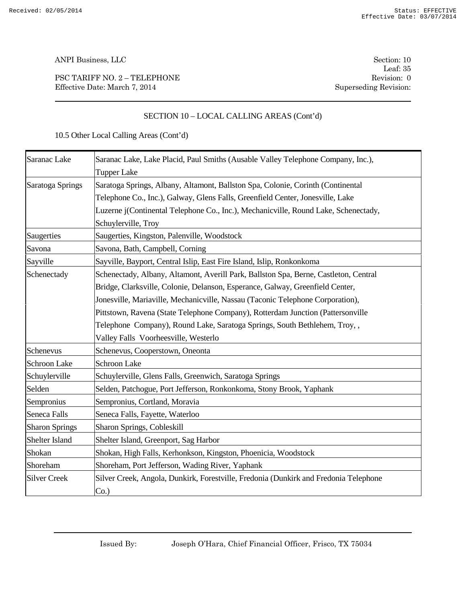PSC TARIFF NO. 2 – TELEPHONE Revision: 0 Effective Date: March 7, 2014 Superseding Revision:

Leaf: 35

# SECTION 10 – LOCAL CALLING AREAS (Cont'd)

| Saranac Lake          | Saranac Lake, Lake Placid, Paul Smiths (Ausable Valley Telephone Company, Inc.),     |  |
|-----------------------|--------------------------------------------------------------------------------------|--|
|                       | <b>Tupper Lake</b>                                                                   |  |
| Saratoga Springs      | Saratoga Springs, Albany, Altamont, Ballston Spa, Colonie, Corinth (Continental      |  |
|                       | Telephone Co., Inc.), Galway, Glens Falls, Greenfield Center, Jonesville, Lake       |  |
|                       | Luzerne j(Continental Telephone Co., Inc.), Mechanicville, Round Lake, Schenectady,  |  |
|                       | Schuylerville, Troy                                                                  |  |
| Saugerties            | Saugerties, Kingston, Palenville, Woodstock                                          |  |
| Savona                | Savona, Bath, Campbell, Corning                                                      |  |
| Sayville              | Sayville, Bayport, Central Islip, East Fire Island, Islip, Ronkonkoma                |  |
| Schenectady           | Schenectady, Albany, Altamont, Averill Park, Ballston Spa, Berne, Castleton, Central |  |
|                       | Bridge, Clarksville, Colonie, Delanson, Esperance, Galway, Greenfield Center,        |  |
|                       | Jonesville, Mariaville, Mechanicville, Nassau (Taconic Telephone Corporation),       |  |
|                       | Pittstown, Ravena (State Telephone Company), Rotterdam Junction (Pattersonville      |  |
|                       | Telephone Company), Round Lake, Saratoga Springs, South Bethlehem, Troy,,            |  |
|                       | Valley Falls Voorheesville, Westerlo                                                 |  |
| Schenevus             | Schenevus, Cooperstown, Oneonta                                                      |  |
| <b>Schroon Lake</b>   | <b>Schroon Lake</b>                                                                  |  |
| Schuylerville         | Schuylerville, Glens Falls, Greenwich, Saratoga Springs                              |  |
| Selden                | Selden, Patchogue, Port Jefferson, Ronkonkoma, Stony Brook, Yaphank                  |  |
| Sempronius            | Sempronius, Cortland, Moravia                                                        |  |
| Seneca Falls          | Seneca Falls, Fayette, Waterloo                                                      |  |
| <b>Sharon Springs</b> | Sharon Springs, Cobleskill                                                           |  |
| Shelter Island        | Shelter Island, Greenport, Sag Harbor                                                |  |
| Shokan                | Shokan, High Falls, Kerhonkson, Kingston, Phoenicia, Woodstock                       |  |
| Shoreham              | Shoreham, Port Jefferson, Wading River, Yaphank                                      |  |
| <b>Silver Creek</b>   | Silver Creek, Angola, Dunkirk, Forestville, Fredonia (Dunkirk and Fredonia Telephone |  |
|                       | Co.                                                                                  |  |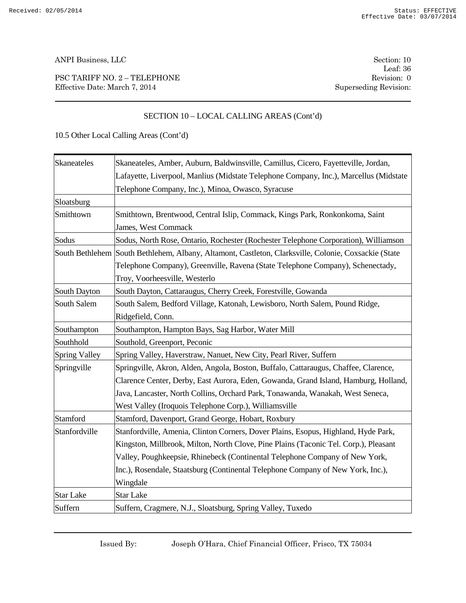PSC TARIFF NO. 2 – TELEPHONE Revision: 0 Effective Date: March 7, 2014 Superseding Revision:

Leaf: 36

# SECTION 10 – LOCAL CALLING AREAS (Cont'd)

| Skaneateles          | Skaneateles, Amber, Auburn, Baldwinsville, Camillus, Cicero, Fayetteville, Jordan,                   |  |
|----------------------|------------------------------------------------------------------------------------------------------|--|
|                      | Lafayette, Liverpool, Manlius (Midstate Telephone Company, Inc.), Marcellus (Midstate                |  |
|                      | Telephone Company, Inc.), Minoa, Owasco, Syracuse                                                    |  |
| Sloatsburg           |                                                                                                      |  |
| Smithtown            | Smithtown, Brentwood, Central Islip, Commack, Kings Park, Ronkonkoma, Saint                          |  |
|                      | James, West Commack                                                                                  |  |
| Sodus                | Sodus, North Rose, Ontario, Rochester (Rochester Telephone Corporation), Williamson                  |  |
|                      | South Bethlehem South Bethlehem, Albany, Altamont, Castleton, Clarksville, Colonie, Coxsackie (State |  |
|                      | Telephone Company), Greenville, Ravena (State Telephone Company), Schenectady,                       |  |
|                      | Troy, Voorheesville, Westerlo                                                                        |  |
| South Dayton         | South Dayton, Cattaraugus, Cherry Creek, Forestville, Gowanda                                        |  |
| South Salem          | South Salem, Bedford Village, Katonah, Lewisboro, North Salem, Pound Ridge,                          |  |
|                      | Ridgefield, Conn.                                                                                    |  |
| Southampton          | Southampton, Hampton Bays, Sag Harbor, Water Mill                                                    |  |
| Southhold            | Southold, Greenport, Peconic                                                                         |  |
| <b>Spring Valley</b> | Spring Valley, Haverstraw, Nanuet, New City, Pearl River, Suffern                                    |  |
| Springville          | Springville, Akron, Alden, Angola, Boston, Buffalo, Cattaraugus, Chaffee, Clarence,                  |  |
|                      | Clarence Center, Derby, East Aurora, Eden, Gowanda, Grand Island, Hamburg, Holland,                  |  |
|                      | Java, Lancaster, North Collins, Orchard Park, Tonawanda, Wanakah, West Seneca,                       |  |
|                      | West Valley (Iroquois Telephone Corp.), Williamsville                                                |  |
| Stamford             | Stamford, Davenport, Grand George, Hobart, Roxbury                                                   |  |
| Stanfordville        | Stanfordville, Amenia, Clinton Corners, Dover Plains, Esopus, Highland, Hyde Park,                   |  |
|                      | Kingston, Millbrook, Milton, North Clove, Pine Plains (Taconic Tel. Corp.), Pleasant                 |  |
|                      | Valley, Poughkeepsie, Rhinebeck (Continental Telephone Company of New York,                          |  |
|                      | Inc.), Rosendale, Staatsburg (Continental Telephone Company of New York, Inc.),                      |  |
|                      | Wingdale                                                                                             |  |
| <b>Star Lake</b>     | <b>Star Lake</b>                                                                                     |  |
| Suffern              | Suffern, Cragmere, N.J., Sloatsburg, Spring Valley, Tuxedo                                           |  |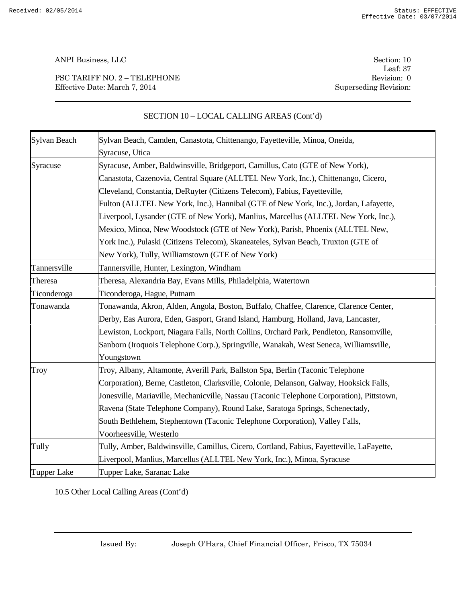PSC TARIFF NO. 2 – TELEPHONE Revision: 0 Effective Date: March 7, 2014 Superseding Revision:

Leaf: 37

| Sylvan Beach       | Sylvan Beach, Camden, Canastota, Chittenango, Fayetteville, Minoa, Oneida,                |  |
|--------------------|-------------------------------------------------------------------------------------------|--|
|                    | Syracuse, Utica                                                                           |  |
| Syracuse           | Syracuse, Amber, Baldwinsville, Bridgeport, Camillus, Cato (GTE of New York),             |  |
|                    | Canastota, Cazenovia, Central Square (ALLTEL New York, Inc.), Chittenango, Cicero,        |  |
|                    | Cleveland, Constantia, DeRuyter (Citizens Telecom), Fabius, Fayetteville,                 |  |
|                    | Fulton (ALLTEL New York, Inc.), Hannibal (GTE of New York, Inc.), Jordan, Lafayette,      |  |
|                    | Liverpool, Lysander (GTE of New York), Manlius, Marcellus (ALLTEL New York, Inc.),        |  |
|                    | Mexico, Minoa, New Woodstock (GTE of New York), Parish, Phoenix (ALLTEL New,              |  |
|                    | York Inc.), Pulaski (Citizens Telecom), Skaneateles, Sylvan Beach, Truxton (GTE of        |  |
|                    | New York), Tully, Williamstown (GTE of New York)                                          |  |
| Tannersville       | Tannersville, Hunter, Lexington, Windham                                                  |  |
| Theresa            | Theresa, Alexandria Bay, Evans Mills, Philadelphia, Watertown                             |  |
| Ticonderoga        | Ticonderoga, Hague, Putnam                                                                |  |
| Tonawanda          | Tonawanda, Akron, Alden, Angola, Boston, Buffalo, Chaffee, Clarence, Clarence Center,     |  |
|                    | Derby, Eas Aurora, Eden, Gasport, Grand Island, Hamburg, Holland, Java, Lancaster,        |  |
|                    | Lewiston, Lockport, Niagara Falls, North Collins, Orchard Park, Pendleton, Ransomville,   |  |
|                    | Sanborn (Iroquois Telephone Corp.), Springville, Wanakah, West Seneca, Williamsville,     |  |
|                    | Youngstown                                                                                |  |
| Troy               | Troy, Albany, Altamonte, Averill Park, Ballston Spa, Berlin (Taconic Telephone            |  |
|                    | Corporation), Berne, Castleton, Clarksville, Colonie, Delanson, Galway, Hooksick Falls,   |  |
|                    | Jonesville, Mariaville, Mechanicville, Nassau (Taconic Telephone Corporation), Pittstown, |  |
|                    | Ravena (State Telephone Company), Round Lake, Saratoga Springs, Schenectady,              |  |
|                    | South Bethlehem, Stephentown (Taconic Telephone Corporation), Valley Falls,               |  |
|                    | Voorheesville, Westerlo                                                                   |  |
| Tully              | Tully, Amber, Baldwinsville, Camillus, Cicero, Cortland, Fabius, Fayetteville, LaFayette, |  |
|                    | Liverpool, Manlius, Marcellus (ALLTEL New York, Inc.), Minoa, Syracuse                    |  |
| <b>Tupper Lake</b> | Tupper Lake, Saranac Lake                                                                 |  |

# SECTION 10 – LOCAL CALLING AREAS (Cont'd)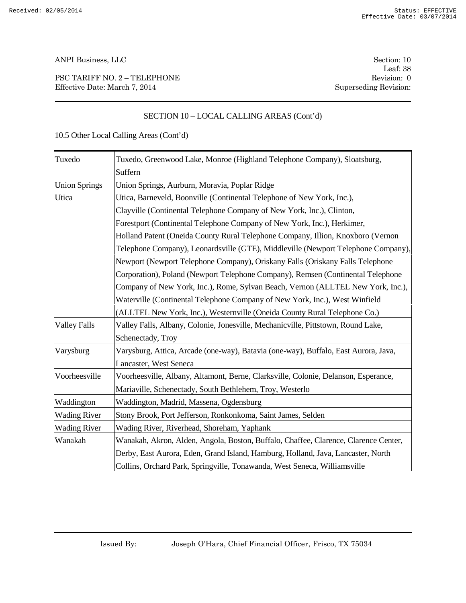PSC TARIFF NO. 2 – TELEPHONE Revision: 0 Effective Date: March 7, 2014 Superseding Revision:

Leaf: 38

# SECTION 10 – LOCAL CALLING AREAS (Cont'd)

| Tuxedo               | Tuxedo, Greenwood Lake, Monroe (Highland Telephone Company), Sloatsburg,            |  |  |
|----------------------|-------------------------------------------------------------------------------------|--|--|
|                      | Suffern                                                                             |  |  |
| <b>Union Springs</b> | Union Springs, Aurburn, Moravia, Poplar Ridge                                       |  |  |
| Utica                | Utica, Barneveld, Boonville (Continental Telephone of New York, Inc.),              |  |  |
|                      | Clayville (Continental Telephone Company of New York, Inc.), Clinton,               |  |  |
|                      | Forestport (Continental Telephone Company of New York, Inc.), Herkimer,             |  |  |
|                      | Holland Patent (Oneida County Rural Telephone Company, Illion, Knoxboro (Vernon     |  |  |
|                      | Telephone Company), Leonardsville (GTE), Middleville (Newport Telephone Company),   |  |  |
|                      | Newport (Newport Telephone Company), Oriskany Falls (Oriskany Falls Telephone       |  |  |
|                      | Corporation), Poland (Newport Telephone Company), Remsen (Continental Telephone     |  |  |
|                      | Company of New York, Inc.), Rome, Sylvan Beach, Vernon (ALLTEL New York, Inc.),     |  |  |
|                      | Waterville (Continental Telephone Company of New York, Inc.), West Winfield         |  |  |
|                      | (ALLTEL New York, Inc.), Westernville (Oneida County Rural Telephone Co.)           |  |  |
| <b>Valley Falls</b>  | Valley Falls, Albany, Colonie, Jonesville, Mechanicville, Pittstown, Round Lake,    |  |  |
|                      | Schenectady, Troy                                                                   |  |  |
| Varysburg            | Varysburg, Attica, Arcade (one-way), Batavia (one-way), Buffalo, East Aurora, Java, |  |  |
|                      | Lancaster, West Seneca                                                              |  |  |
| Voorheesville        | Voorheesville, Albany, Altamont, Berne, Clarksville, Colonie, Delanson, Esperance,  |  |  |
|                      | Mariaville, Schenectady, South Bethlehem, Troy, Westerlo                            |  |  |
| Waddington           | Waddington, Madrid, Massena, Ogdensburg                                             |  |  |
| <b>Wading River</b>  | Stony Brook, Port Jefferson, Ronkonkoma, Saint James, Selden                        |  |  |
| <b>Wading River</b>  | Wading River, Riverhead, Shoreham, Yaphank                                          |  |  |
| Wanakah              | Wanakah, Akron, Alden, Angola, Boston, Buffalo, Chaffee, Clarence, Clarence Center, |  |  |
|                      | Derby, East Aurora, Eden, Grand Island, Hamburg, Holland, Java, Lancaster, North    |  |  |
|                      | Collins, Orchard Park, Springville, Tonawanda, West Seneca, Williamsville           |  |  |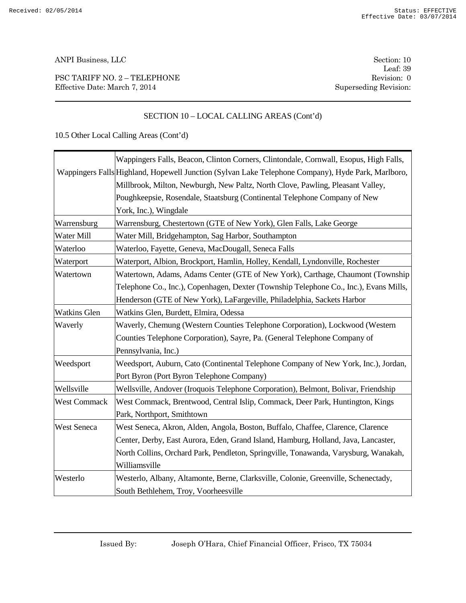PSC TARIFF NO. 2 – TELEPHONE Revision: 0 Effective Date: March 7, 2014 Superseding Revision:

Leaf: 39

# SECTION 10 – LOCAL CALLING AREAS (Cont'd)

|                     | Wappingers Falls, Beacon, Clinton Corners, Clintondale, Cornwall, Esopus, High Falls,              |  |  |
|---------------------|----------------------------------------------------------------------------------------------------|--|--|
|                     | Wappingers Falls Highland, Hopewell Junction (Sylvan Lake Telephone Company), Hyde Park, Marlboro, |  |  |
|                     | Millbrook, Milton, Newburgh, New Paltz, North Clove, Pawling, Pleasant Valley,                     |  |  |
|                     | Poughkeepsie, Rosendale, Staatsburg (Continental Telephone Company of New                          |  |  |
|                     | York, Inc.), Wingdale                                                                              |  |  |
| Warrensburg         | Warrensburg, Chestertown (GTE of New York), Glen Falls, Lake George                                |  |  |
| Water Mill          | Water Mill, Bridgehampton, Sag Harbor, Southampton                                                 |  |  |
| Waterloo            | Waterloo, Fayette, Geneva, MacDougall, Seneca Falls                                                |  |  |
| Waterport           | Waterport, Albion, Brockport, Hamlin, Holley, Kendall, Lyndonville, Rochester                      |  |  |
| Watertown           | Watertown, Adams, Adams Center (GTE of New York), Carthage, Chaumont (Township                     |  |  |
|                     | Telephone Co., Inc.), Copenhagen, Dexter (Township Telephone Co., Inc.), Evans Mills,              |  |  |
|                     | Henderson (GTE of New York), LaFargeville, Philadelphia, Sackets Harbor                            |  |  |
| <b>Watkins Glen</b> | Watkins Glen, Burdett, Elmira, Odessa                                                              |  |  |
| Waverly             | Waverly, Chemung (Western Counties Telephone Corporation), Lockwood (Western                       |  |  |
|                     | Counties Telephone Corporation), Sayre, Pa. (General Telephone Company of                          |  |  |
|                     | Pennsylvania, Inc.)                                                                                |  |  |
| Weedsport           | Weedsport, Auburn, Cato (Continental Telephone Company of New York, Inc.), Jordan,                 |  |  |
|                     | Port Byron (Port Byron Telephone Company)                                                          |  |  |
| Wellsville          | Wellsville, Andover (Iroquois Telephone Corporation), Belmont, Bolivar, Friendship                 |  |  |
| <b>West Commack</b> | West Commack, Brentwood, Central Islip, Commack, Deer Park, Huntington, Kings                      |  |  |
|                     | Park, Northport, Smithtown                                                                         |  |  |
| <b>West Seneca</b>  | West Seneca, Akron, Alden, Angola, Boston, Buffalo, Chaffee, Clarence, Clarence                    |  |  |
|                     | Center, Derby, East Aurora, Eden, Grand Island, Hamburg, Holland, Java, Lancaster,                 |  |  |
|                     | North Collins, Orchard Park, Pendleton, Springville, Tonawanda, Varysburg, Wanakah,                |  |  |
|                     | Williamsville                                                                                      |  |  |
| Westerlo            | Westerlo, Albany, Altamonte, Berne, Clarksville, Colonie, Greenville, Schenectady,                 |  |  |
|                     | South Bethlehem, Troy, Voorheesville                                                               |  |  |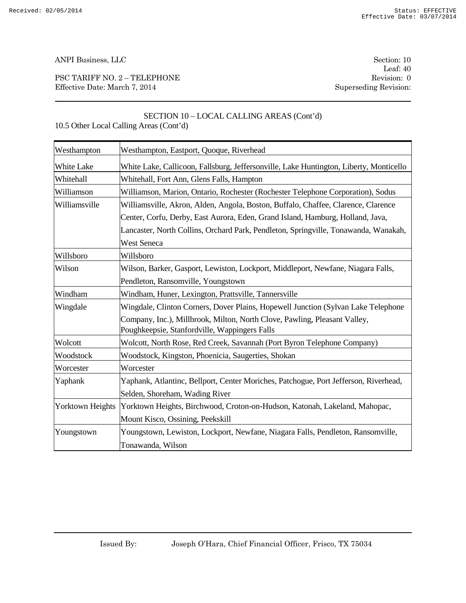PSC TARIFF NO. 2 – TELEPHONE Revision: 0 Effective Date: March 7, 2014 Superseding Revision:

Leaf: 40

| 10.5 Other Local Calling Areas (Cont'd) |                                                                                                                            |  |
|-----------------------------------------|----------------------------------------------------------------------------------------------------------------------------|--|
| Westhampton                             | Westhampton, Eastport, Quoque, Riverhead                                                                                   |  |
| White Lake                              | White Lake, Callicoon, Fallsburg, Jeffersonville, Lake Huntington, Liberty, Monticello                                     |  |
| Whitehall                               | Whitehall, Fort Ann, Glens Falls, Hampton                                                                                  |  |
| Williamson                              | Williamson, Marion, Ontario, Rochester (Rochester Telephone Corporation), Sodus                                            |  |
| Williamsville                           | Williamsville, Akron, Alden, Angola, Boston, Buffalo, Chaffee, Clarence, Clarence                                          |  |
|                                         | Center, Corfu, Derby, East Aurora, Eden, Grand Island, Hamburg, Holland, Java,                                             |  |
|                                         | Lancaster, North Collins, Orchard Park, Pendleton, Springville, Tonawanda, Wanakah,                                        |  |
|                                         | <b>West Seneca</b>                                                                                                         |  |
| Willsboro                               | Willsboro                                                                                                                  |  |
| Wilson                                  | Wilson, Barker, Gasport, Lewiston, Lockport, Middleport, Newfane, Niagara Falls,                                           |  |
|                                         | Pendleton, Ransomville, Youngstown                                                                                         |  |
| Windham                                 | Windham, Huner, Lexington, Prattsville, Tannersville                                                                       |  |
| Wingdale                                | Wingdale, Clinton Corners, Dover Plains, Hopewell Junction (Sylvan Lake Telephone                                          |  |
|                                         | Company, Inc.), Millbrook, Milton, North Clove, Pawling, Pleasant Valley,<br>Poughkeepsie, Stanfordville, Wappingers Falls |  |
| Wolcott                                 | Wolcott, North Rose, Red Creek, Savannah (Port Byron Telephone Company)                                                    |  |
| Woodstock                               | Woodstock, Kingston, Phoenicia, Saugerties, Shokan                                                                         |  |
| Worcester                               | Worcester                                                                                                                  |  |
| Yaphank                                 | Yaphank, Atlantinc, Bellport, Center Moriches, Patchogue, Port Jefferson, Riverhead,                                       |  |
|                                         | Selden, Shoreham, Wading River                                                                                             |  |
| <b>Yorktown Heights</b>                 | Yorktown Heights, Birchwood, Croton-on-Hudson, Katonah, Lakeland, Mahopac,                                                 |  |
|                                         | Mount Kisco, Ossining, Peekskill                                                                                           |  |
| Youngstown                              | Youngstown, Lewiston, Lockport, Newfane, Niagara Falls, Pendleton, Ransomville,                                            |  |
|                                         | Tonawanda, Wilson                                                                                                          |  |

# SECTION 10 – LOCAL CALLING AREAS (Cont'd)